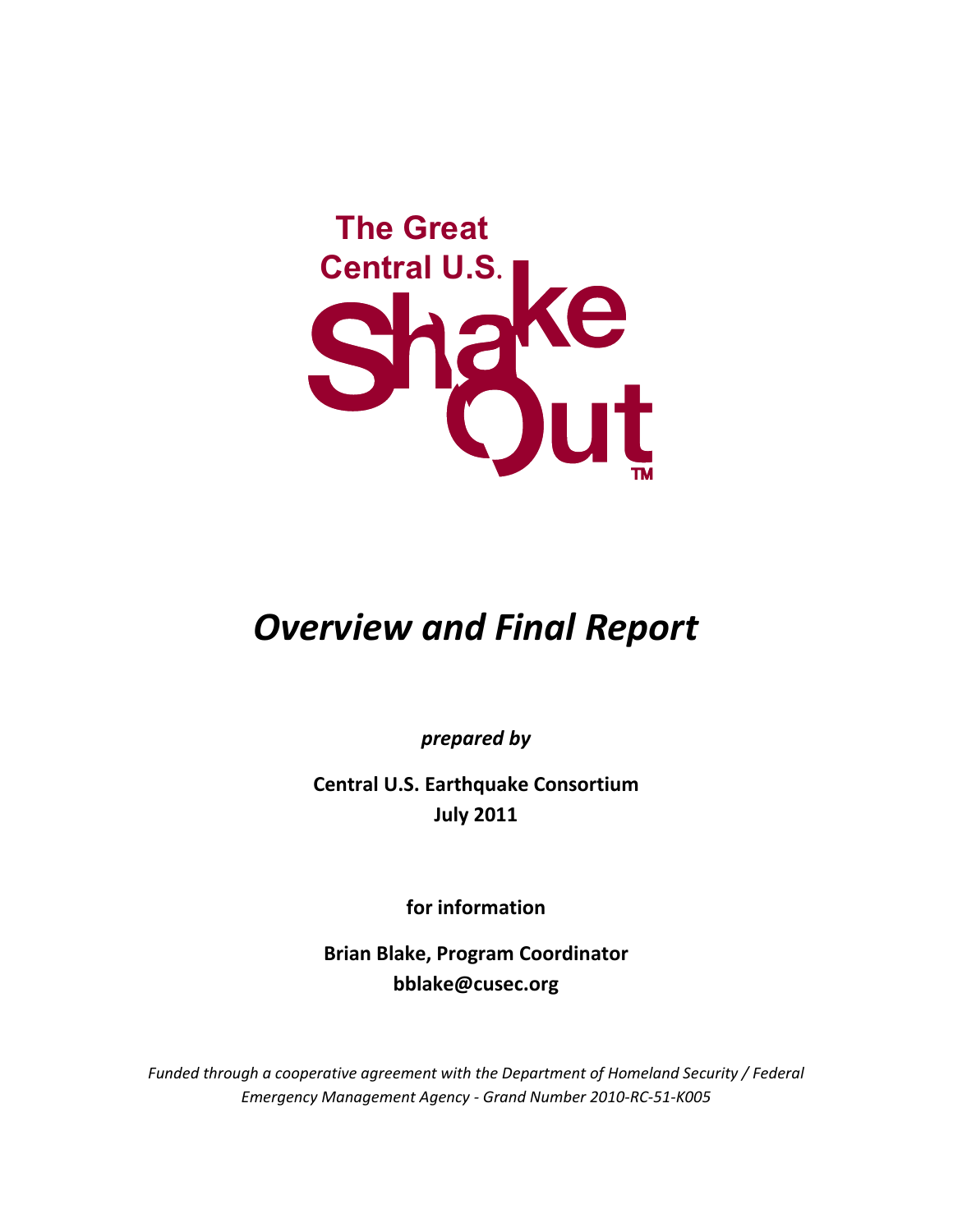

# *Overview and Final Report*

*prepared by*

**Central U.S. Earthquake Consortium July 2011**

**for information**

**Brian Blake, Program Coordinator bblake@cusec.org**

*Funded through a cooperative agreement with the Department of Homeland Security / Federal Emergency Management Agency ‐ Grand Number 2010‐RC‐51‐K005*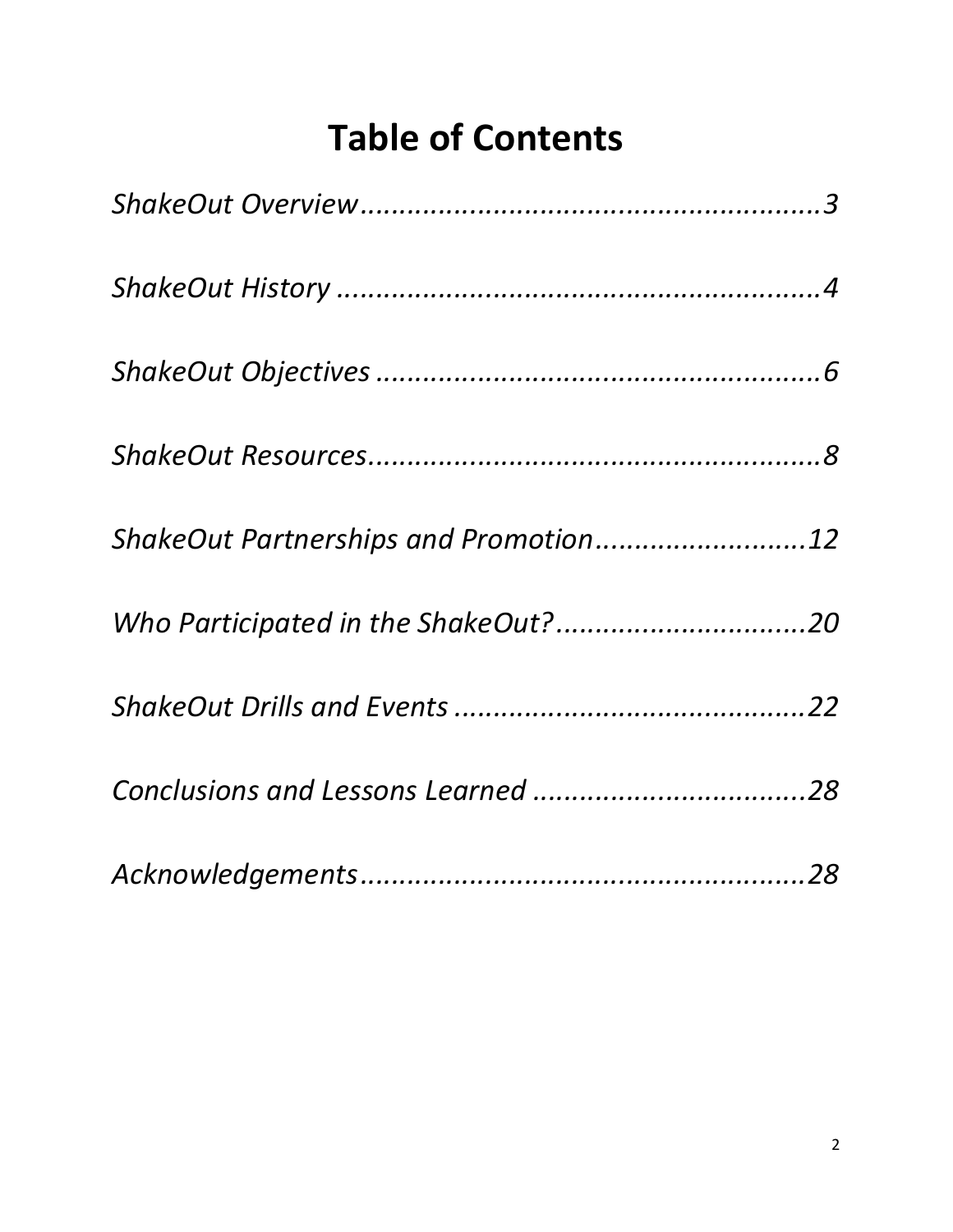# **Table of Contents**

| ShakeOut Partnerships and Promotion12 |  |
|---------------------------------------|--|
|                                       |  |
|                                       |  |
|                                       |  |
|                                       |  |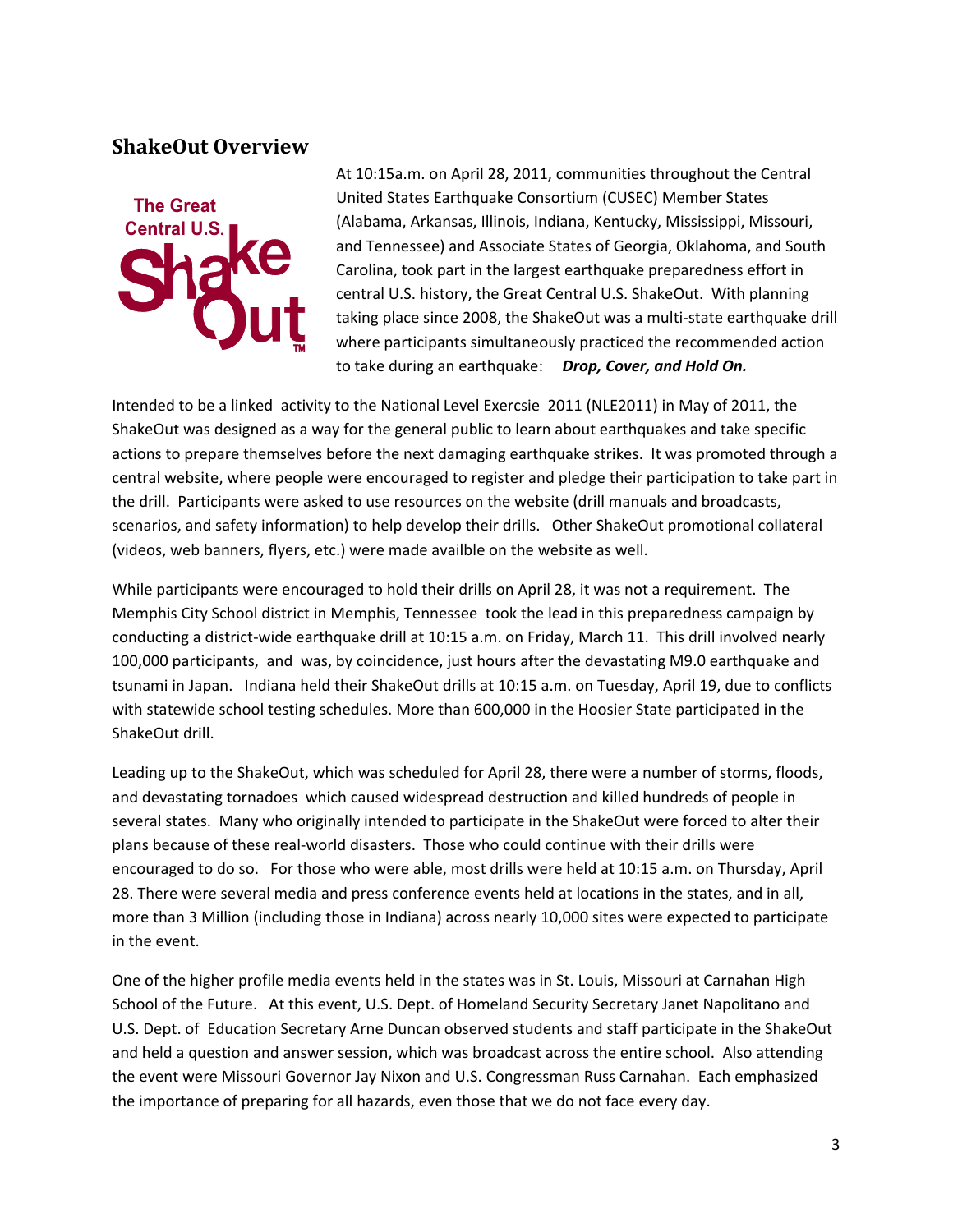## **ShakeOut Overview**



At 10:15a.m. on April 28, 2011, communities throughout the Central United States Earthquake Consortium (CUSEC) Member States (Alabama, Arkansas, Illinois, Indiana, Kentucky, Mississippi, Missouri, and Tennessee) and Associate States of Georgia, Oklahoma, and South Carolina, took part in the largest earthquake preparedness effort in central U.S. history, the Great Central U.S. ShakeOut. With planning taking place since 2008, the ShakeOut was a multi‐state earthquake drill where participants simultaneously practiced the recommended action to take during an earthquake: *Drop, Cover, and Hold On.*

Intended to be a linked activity to the National Level Exercsie 2011 (NLE2011) in May of 2011, the ShakeOut was designed as a way for the general public to learn about earthquakes and take specific actions to prepare themselves before the next damaging earthquake strikes. It was promoted through a central website, where people were encouraged to register and pledge their participation to take part in the drill. Participants were asked to use resources on the website (drill manuals and broadcasts, scenarios, and safety information) to help develop their drills. Other ShakeOut promotional collateral (videos, web banners, flyers, etc.) were made availble on the website as well.

While participants were encouraged to hold their drills on April 28, it was not a requirement. The Memphis City School district in Memphis, Tennessee took the lead in this preparedness campaign by conducting a district-wide earthquake drill at 10:15 a.m. on Friday, March 11. This drill involved nearly 100,000 participants, and was, by coincidence, just hours after the devastating M9.0 earthquake and tsunami in Japan. Indiana held their ShakeOut drills at 10:15 a.m. on Tuesday, April 19, due to conflicts with statewide school testing schedules. More than 600,000 in the Hoosier State participated in the ShakeOut drill.

Leading up to the ShakeOut, which was scheduled for April 28, there were a number of storms, floods, and devastating tornadoes which caused widespread destruction and killed hundreds of people in several states. Many who originally intended to participate in the ShakeOut were forced to alter their plans because of these real‐world disasters. Those who could continue with their drills were encouraged to do so. For those who were able, most drills were held at 10:15 a.m. on Thursday, April 28. There were several media and press conference events held at locations in the states, and in all, more than 3 Million (including those in Indiana) across nearly 10,000 sites were expected to participate in the event.

One of the higher profile media events held in the states was in St. Louis, Missouri at Carnahan High School of the Future. At this event, U.S. Dept. of Homeland Security Secretary Janet Napolitano and U.S. Dept. of Education Secretary Arne Duncan observed students and staff participate in the ShakeOut and held a question and answer session, which was broadcast across the entire school. Also attending the event were Missouri Governor Jay Nixon and U.S. Congressman Russ Carnahan. Each emphasized the importance of preparing for all hazards, even those that we do not face every day.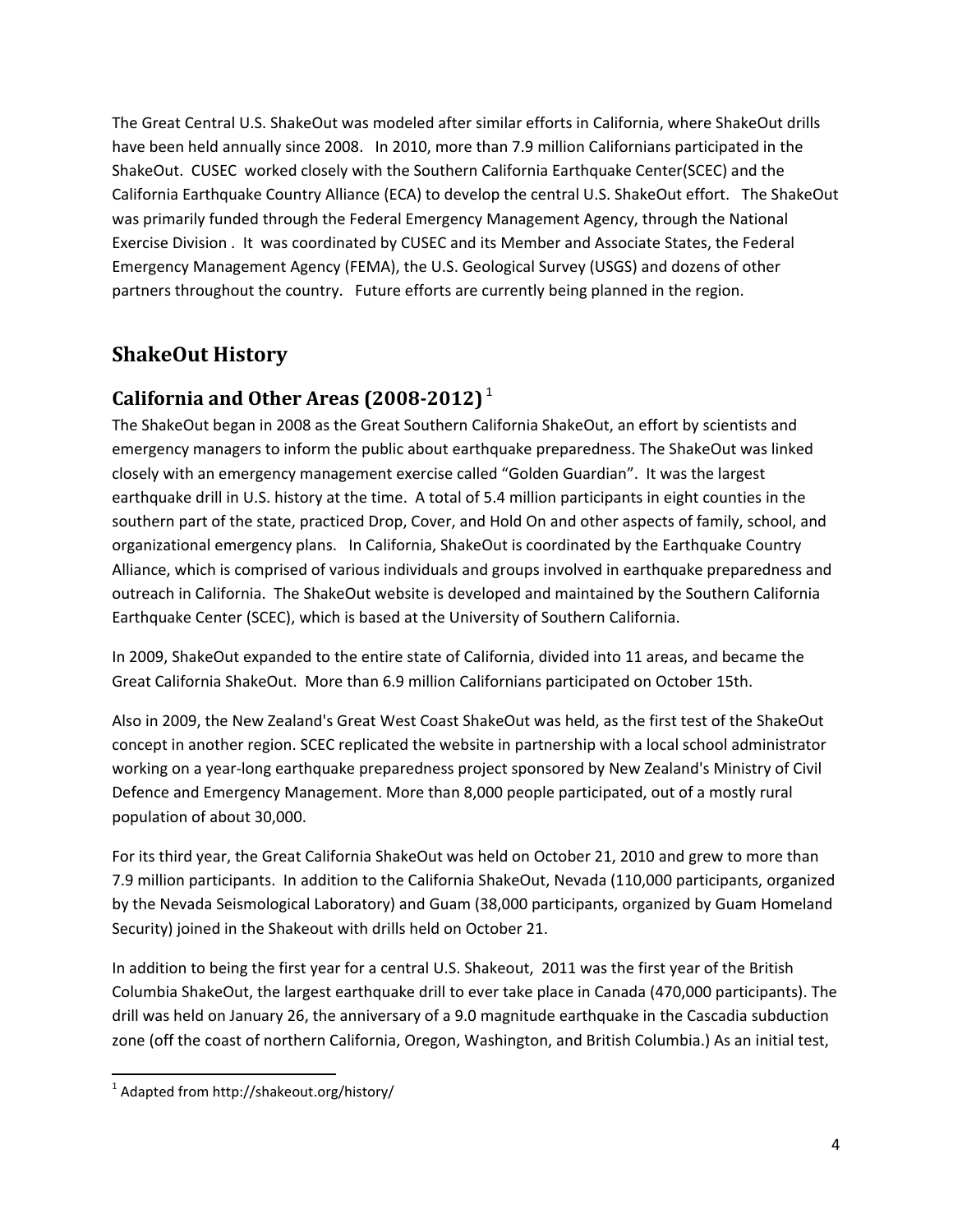The Great Central U.S. ShakeOut was modeled after similar efforts in California, where ShakeOut drills have been held annually since 2008. In 2010, more than 7.9 million Californians participated in the ShakeOut. CUSEC worked closely with the Southern California Earthquake Center(SCEC) and the California Earthquake Country Alliance (ECA) to develop the central U.S. ShakeOut effort. The ShakeOut was primarily funded through the Federal Emergency Management Agency, through the National Exercise Division . It was coordinated by CUSEC and its Member and Associate States, the Federal Emergency Management Agency (FEMA), the U.S. Geological Survey (USGS) and dozens of other partners throughout the country. Future efforts are currently being planned in the region.

# **ShakeOut History**

## **California and Other Areas (2008‐2012)** <sup>1</sup>

The ShakeOut began in 2008 as the Great Southern California ShakeOut, an effort by scientists and emergency managers to inform the public about earthquake preparedness. The ShakeOut was linked closely with an emergency management exercise called "Golden Guardian". It was the largest earthquake drill in U.S. history at the time. A total of 5.4 million participants in eight counties in the southern part of the state, practiced Drop, Cover, and Hold On and other aspects of family, school, and organizational emergency plans. In California, ShakeOut is coordinated by the Earthquake Country Alliance, which is comprised of various individuals and groups involved in earthquake preparedness and outreach in California. The ShakeOut website is developed and maintained by the Southern California Earthquake Center (SCEC), which is based at the University of Southern California.

In 2009, ShakeOut expanded to the entire state of California, divided into 11 areas, and became the Great California ShakeOut. More than 6.9 million Californians participated on October 15th.

Also in 2009, the New Zealand's Great West Coast ShakeOut was held, as the first test of the ShakeOut concept in another region. SCEC replicated the website in partnership with a local school administrator working on a year‐long earthquake preparedness project sponsored by New Zealand's Ministry of Civil Defence and Emergency Management. More than 8,000 people participated, out of a mostly rural population of about 30,000.

For its third year, the Great California ShakeOut was held on October 21, 2010 and grew to more than 7.9 million participants. In addition to the California ShakeOut, Nevada (110,000 participants, organized by the Nevada Seismological Laboratory) and Guam (38,000 participants, organized by Guam Homeland Security) joined in the Shakeout with drills held on October 21.

In addition to being the first year for a central U.S. Shakeout, 2011 was the first year of the British Columbia ShakeOut, the largest earthquake drill to ever take place in Canada (470,000 participants). The drill was held on January 26, the anniversary of a 9.0 magnitude earthquake in the Cascadia subduction zone (off the coast of northern California, Oregon, Washington, and British Columbia.) As an initial test,

  $<sup>1</sup>$  Adapted from http://shakeout.org/history/</sup>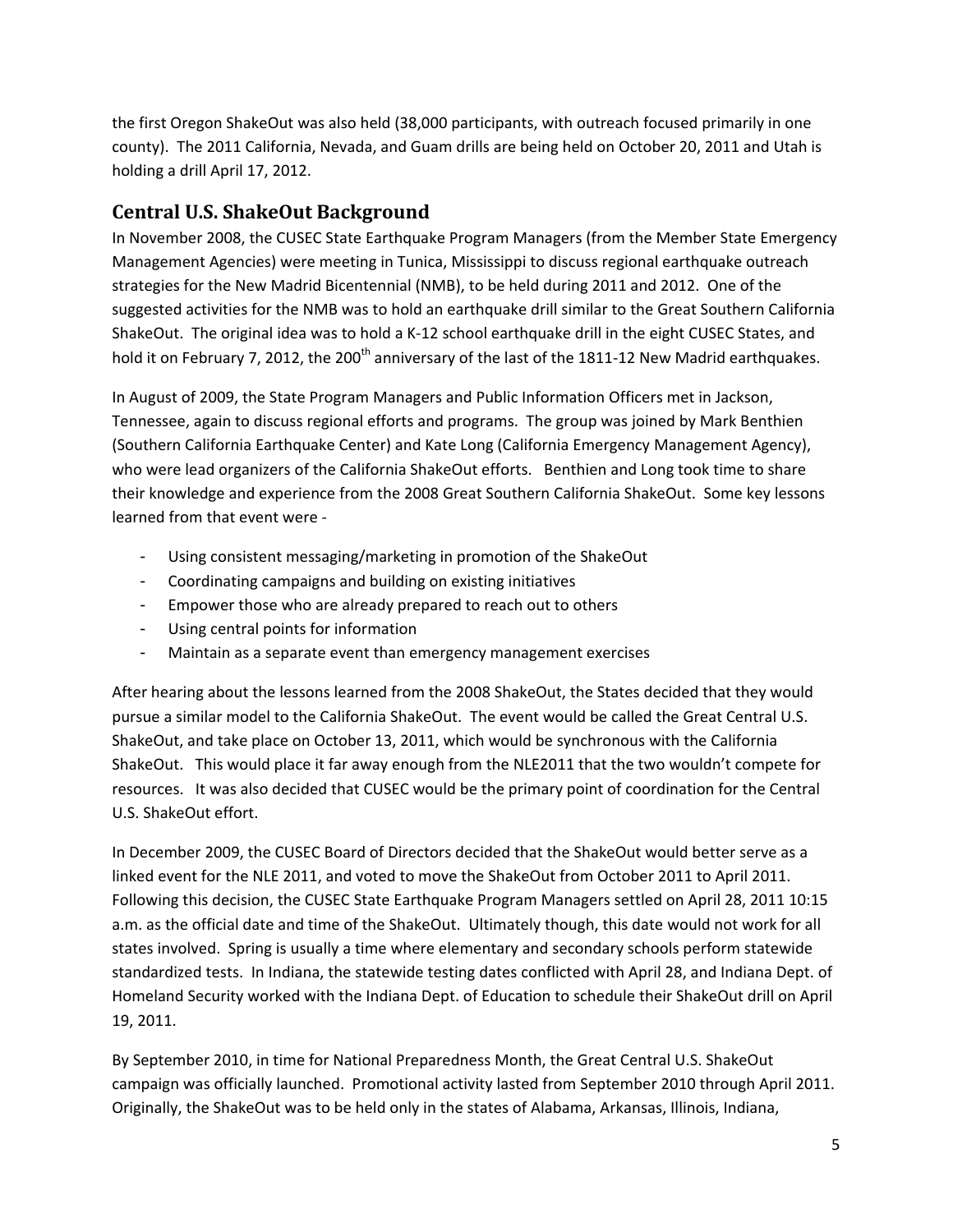the first Oregon ShakeOut was also held (38,000 participants, with outreach focused primarily in one county). The 2011 California, Nevada, and Guam drills are being held on October 20, 2011 and Utah is holding a drill April 17, 2012.

## **Central U.S. ShakeOut Background**

In November 2008, the CUSEC State Earthquake Program Managers (from the Member State Emergency Management Agencies) were meeting in Tunica, Mississippi to discuss regional earthquake outreach strategies for the New Madrid Bicentennial (NMB), to be held during 2011 and 2012. One of the suggested activities for the NMB was to hold an earthquake drill similar to the Great Southern California ShakeOut. The original idea was to hold a K‐12 school earthquake drill in the eight CUSEC States, and hold it on February 7, 2012, the 200<sup>th</sup> anniversary of the last of the 1811-12 New Madrid earthquakes.

In August of 2009, the State Program Managers and Public Information Officers met in Jackson, Tennessee, again to discuss regional efforts and programs. The group was joined by Mark Benthien (Southern California Earthquake Center) and Kate Long (California Emergency Management Agency), who were lead organizers of the California ShakeOut efforts. Benthien and Long took time to share their knowledge and experience from the 2008 Great Southern California ShakeOut. Some key lessons learned from that event were ‐

- Using consistent messaging/marketing in promotion of the ShakeOut
- Coordinating campaigns and building on existing initiatives
- Empower those who are already prepared to reach out to others
- Using central points for information
- Maintain as a separate event than emergency management exercises

After hearing about the lessons learned from the 2008 ShakeOut, the States decided that they would pursue a similar model to the California ShakeOut. The event would be called the Great Central U.S. ShakeOut, and take place on October 13, 2011, which would be synchronous with the California ShakeOut. This would place it far away enough from the NLE2011 that the two wouldn't compete for resources. It was also decided that CUSEC would be the primary point of coordination for the Central U.S. ShakeOut effort.

In December 2009, the CUSEC Board of Directors decided that the ShakeOut would better serve as a linked event for the NLE 2011, and voted to move the ShakeOut from October 2011 to April 2011. Following this decision, the CUSEC State Earthquake Program Managers settled on April 28, 2011 10:15 a.m. as the official date and time of the ShakeOut. Ultimately though, this date would not work for all states involved. Spring is usually a time where elementary and secondary schools perform statewide standardized tests. In Indiana, the statewide testing dates conflicted with April 28, and Indiana Dept. of Homeland Security worked with the Indiana Dept. of Education to schedule their ShakeOut drill on April 19, 2011.

By September 2010, in time for National Preparedness Month, the Great Central U.S. ShakeOut campaign was officially launched. Promotional activity lasted from September 2010 through April 2011. Originally, the ShakeOut was to be held only in the states of Alabama, Arkansas, Illinois, Indiana,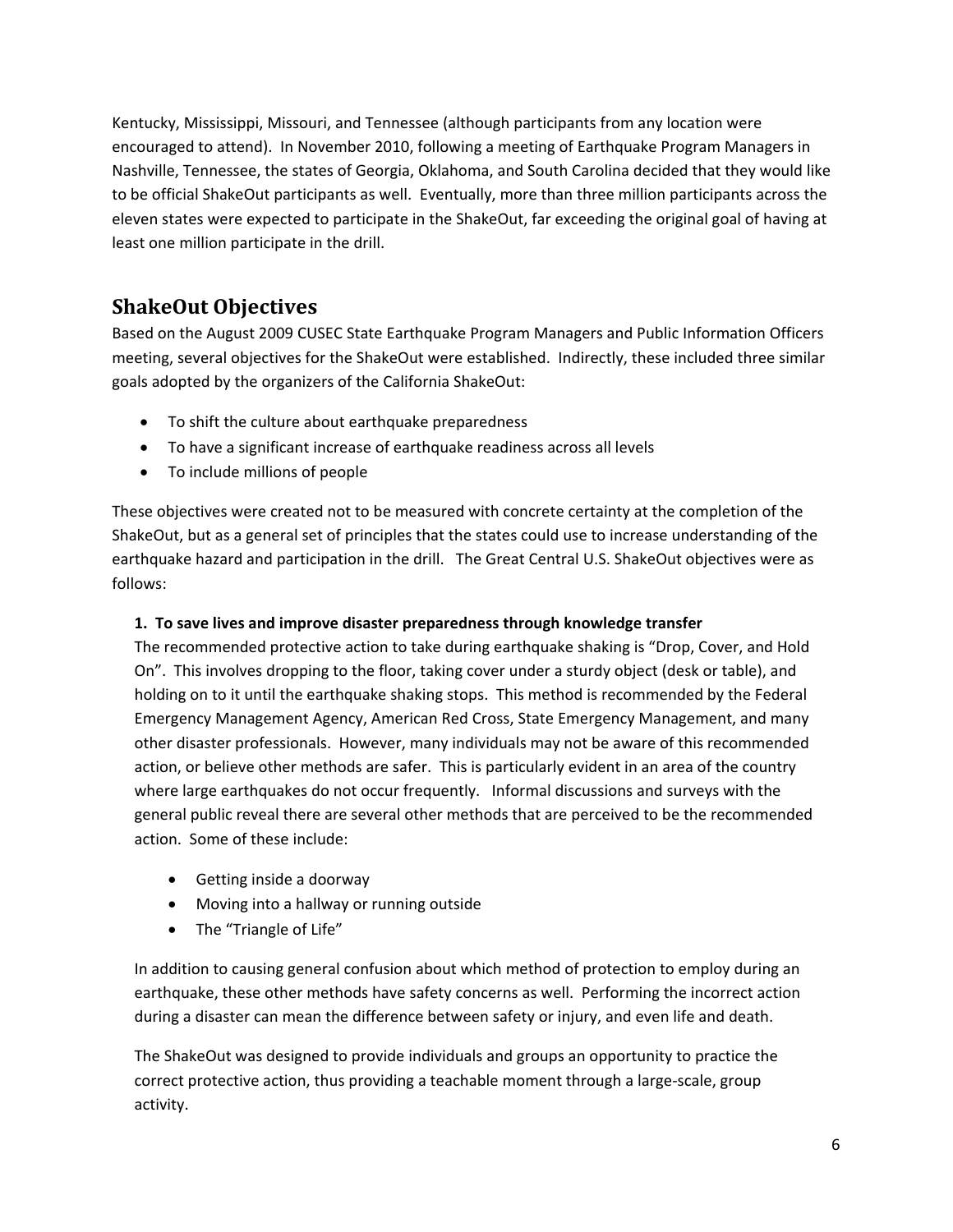Kentucky, Mississippi, Missouri, and Tennessee (although participants from any location were encouraged to attend). In November 2010, following a meeting of Earthquake Program Managers in Nashville, Tennessee, the states of Georgia, Oklahoma, and South Carolina decided that they would like to be official ShakeOut participants as well. Eventually, more than three million participants across the eleven states were expected to participate in the ShakeOut, far exceeding the original goal of having at least one million participate in the drill.

# **ShakeOut Objectives**

Based on the August 2009 CUSEC State Earthquake Program Managers and Public Information Officers meeting, several objectives for the ShakeOut were established. Indirectly, these included three similar goals adopted by the organizers of the California ShakeOut:

- To shift the culture about earthquake preparedness
- To have a significant increase of earthquake readiness across all levels
- To include millions of people

These objectives were created not to be measured with concrete certainty at the completion of the ShakeOut, but as a general set of principles that the states could use to increase understanding of the earthquake hazard and participation in the drill. The Great Central U.S. ShakeOut objectives were as follows:

### **1. To save lives and improve disaster preparedness through knowledge transfer**

The recommended protective action to take during earthquake shaking is "Drop, Cover, and Hold On". This involves dropping to the floor, taking cover under a sturdy object (desk or table), and holding on to it until the earthquake shaking stops. This method is recommended by the Federal Emergency Management Agency, American Red Cross, State Emergency Management, and many other disaster professionals. However, many individuals may not be aware of this recommended action, or believe other methods are safer. This is particularly evident in an area of the country where large earthquakes do not occur frequently. Informal discussions and surveys with the general public reveal there are several other methods that are perceived to be the recommended action. Some of these include:

- Getting inside a doorway
- Moving into a hallway or running outside
- The "Triangle of Life"

In addition to causing general confusion about which method of protection to employ during an earthquake, these other methods have safety concerns as well. Performing the incorrect action during a disaster can mean the difference between safety or injury, and even life and death.

The ShakeOut was designed to provide individuals and groups an opportunity to practice the correct protective action, thus providing a teachable moment through a large‐scale, group activity.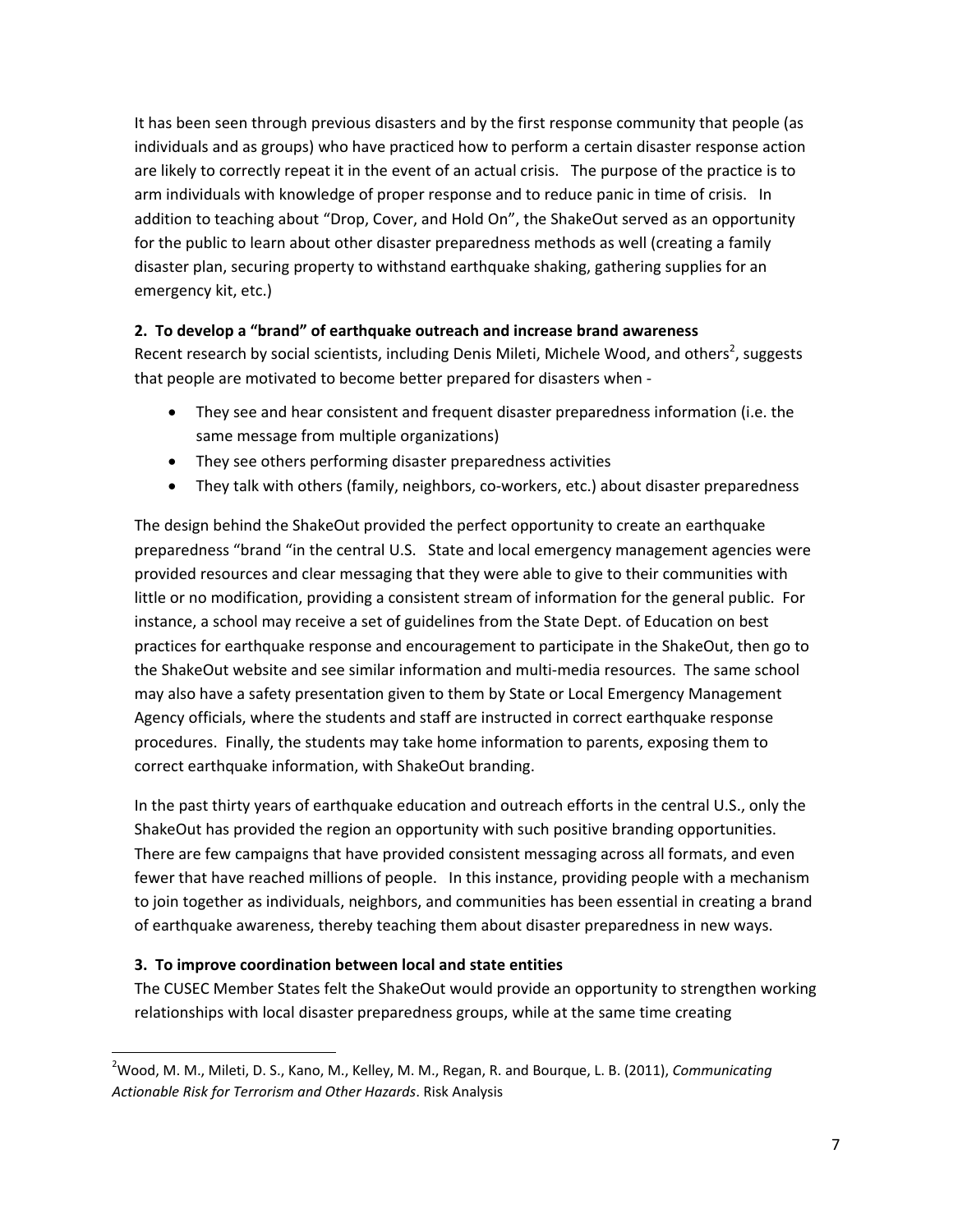It has been seen through previous disasters and by the first response community that people (as individuals and as groups) who have practiced how to perform a certain disaster response action are likely to correctly repeat it in the event of an actual crisis. The purpose of the practice is to arm individuals with knowledge of proper response and to reduce panic in time of crisis. In addition to teaching about "Drop, Cover, and Hold On", the ShakeOut served as an opportunity for the public to learn about other disaster preparedness methods as well (creating a family disaster plan, securing property to withstand earthquake shaking, gathering supplies for an emergency kit, etc.)

#### **2. To develop a "brand" of earthquake outreach and increase brand awareness**

Recent research by social scientists, including Denis Mileti, Michele Wood, and others<sup>2</sup>, suggests that people are motivated to become better prepared for disasters when ‐

- They see and hear consistent and frequent disaster preparedness information (i.e. the same message from multiple organizations)
- They see others performing disaster preparedness activities
- They talk with others (family, neighbors, co-workers, etc.) about disaster preparedness

The design behind the ShakeOut provided the perfect opportunity to create an earthquake preparedness "brand "in the central U.S. State and local emergency management agencies were provided resources and clear messaging that they were able to give to their communities with little or no modification, providing a consistent stream of information for the general public. For instance, a school may receive a set of guidelines from the State Dept. of Education on best practices for earthquake response and encouragement to participate in the ShakeOut, then go to the ShakeOut website and see similar information and multi‐media resources. The same school may also have a safety presentation given to them by State or Local Emergency Management Agency officials, where the students and staff are instructed in correct earthquake response procedures. Finally, the students may take home information to parents, exposing them to correct earthquake information, with ShakeOut branding.

In the past thirty years of earthquake education and outreach efforts in the central U.S., only the ShakeOut has provided the region an opportunity with such positive branding opportunities. There are few campaigns that have provided consistent messaging across all formats, and even fewer that have reached millions of people. In this instance, providing people with a mechanism to join together as individuals, neighbors, and communities has been essential in creating a brand of earthquake awareness, thereby teaching them about disaster preparedness in new ways.

#### **3. To improve coordination between local and state entities**

The CUSEC Member States felt the ShakeOut would provide an opportunity to strengthen working relationships with local disaster preparedness groups, while at the same time creating

<sup>2</sup> Wood, M. M., Mileti, D. S., Kano, M., Kelley, M. M., Regan, R. and Bourque, L. B. (2011), *Communicating Actionable Risk for Terrorism and Other Hazards*. Risk Analysis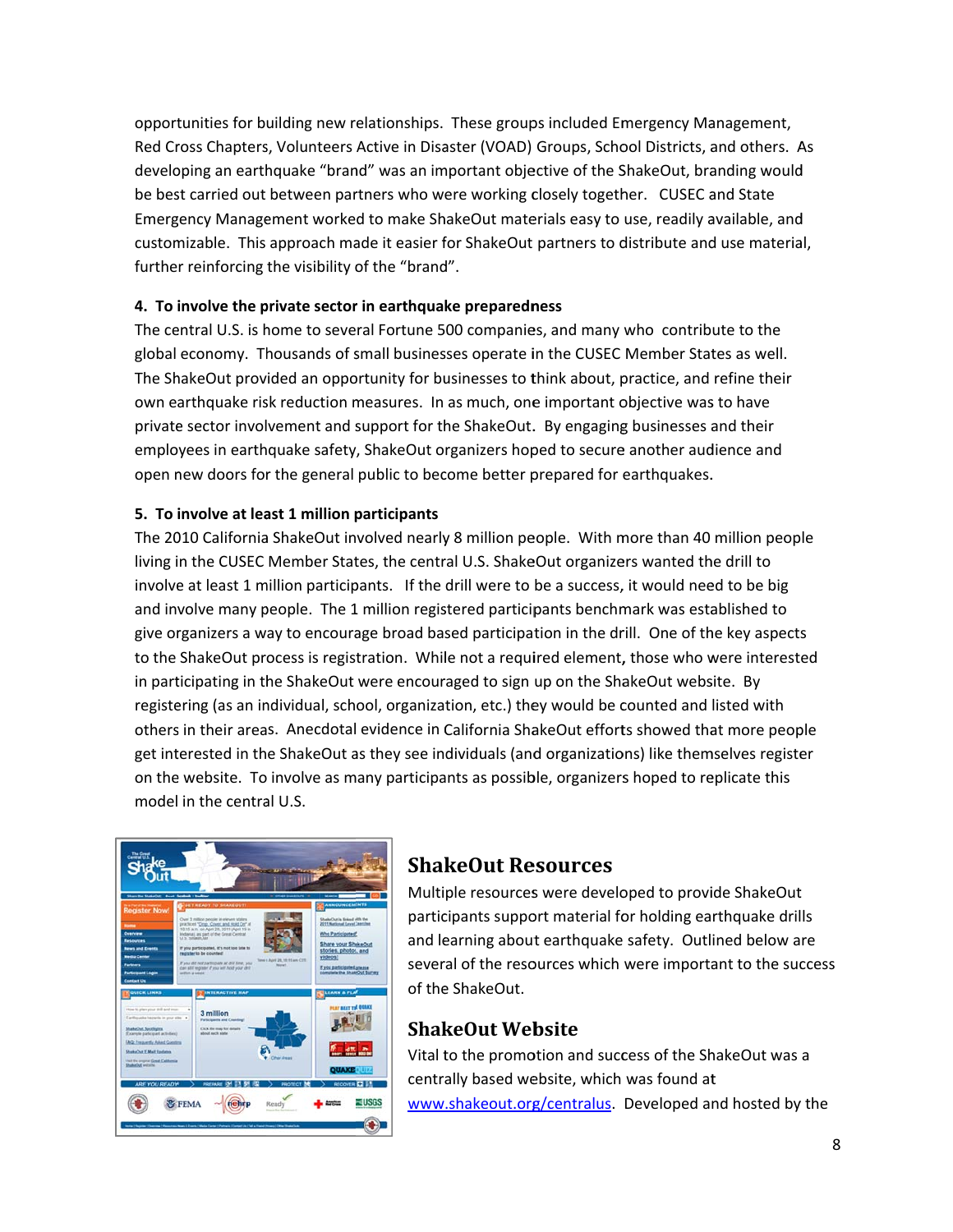opportunities for building new relationships. These groups included Emergency Management, Red Cross Chapters, Volunteers Active in Disaster (VOAD) Groups, School Districts, and others. As developing an earthquake "brand" was an important objective of the ShakeOut, branding would be best carried out between partners who were working closely together. CUSEC and State Emergency Management worked to make ShakeOut materials easy to use, readily available, and customizable. This approach made it easier for ShakeOut partners to distribute and use material, further reinforcing the visibility of the "brand".

#### 4. To involve the private sector in earthquake preparedness

The central U.S. is home to several Fortune 500 companies, and many who contribute to the global economy. Thousands of small businesses operate in the CUSEC Member States as well. The ShakeOut provided an opportunity for businesses to think about, practice, and refine their own earthquake risk reduction measures. In as much, one important objective was to have private sector involvement and support for the ShakeOut. By engaging businesses and their employees in earthquake safety, ShakeOut organizers hoped to secure another audience and open new doors for the general public to become better prepared for earthquakes.

#### 5. To involve at least 1 million participants

The 2010 California ShakeOut involved nearly 8 million people. With more than 40 million people living in the CUSEC Member States, the central U.S. ShakeOut organizers wanted the drill to involve at least 1 million participants. If the drill were to be a success, it would need to be big and involve many people. The 1 million registered participants benchmark was established to give organizers a way to encourage broad based participation in the drill. One of the key aspects to the ShakeOut process is registration. While not a required element, those who were interested in participating in the ShakeOut were encouraged to sign up on the ShakeOut website. By registering (as an individual, school, organization, etc.) they would be counted and listed with others in their areas. Anecdotal evidence in California ShakeOut efforts showed that more people get interested in the ShakeOut as they see individuals (and organizations) like themselves register on the website. To involve as many participants as possible, organizers hoped to replicate this model in the central U.S.



## **ShakeOut Resources**

Multiple resources were developed to provide ShakeOut participants support material for holding earthquake drills and learning about earthquake safety. Outlined below are several of the resources which were important to the success of the ShakeOut.

## **ShakeOut Website**

Vital to the promotion and success of the ShakeOut was a centrally based website, which was found at www.shakeout.org/centralus. Developed and hosted by the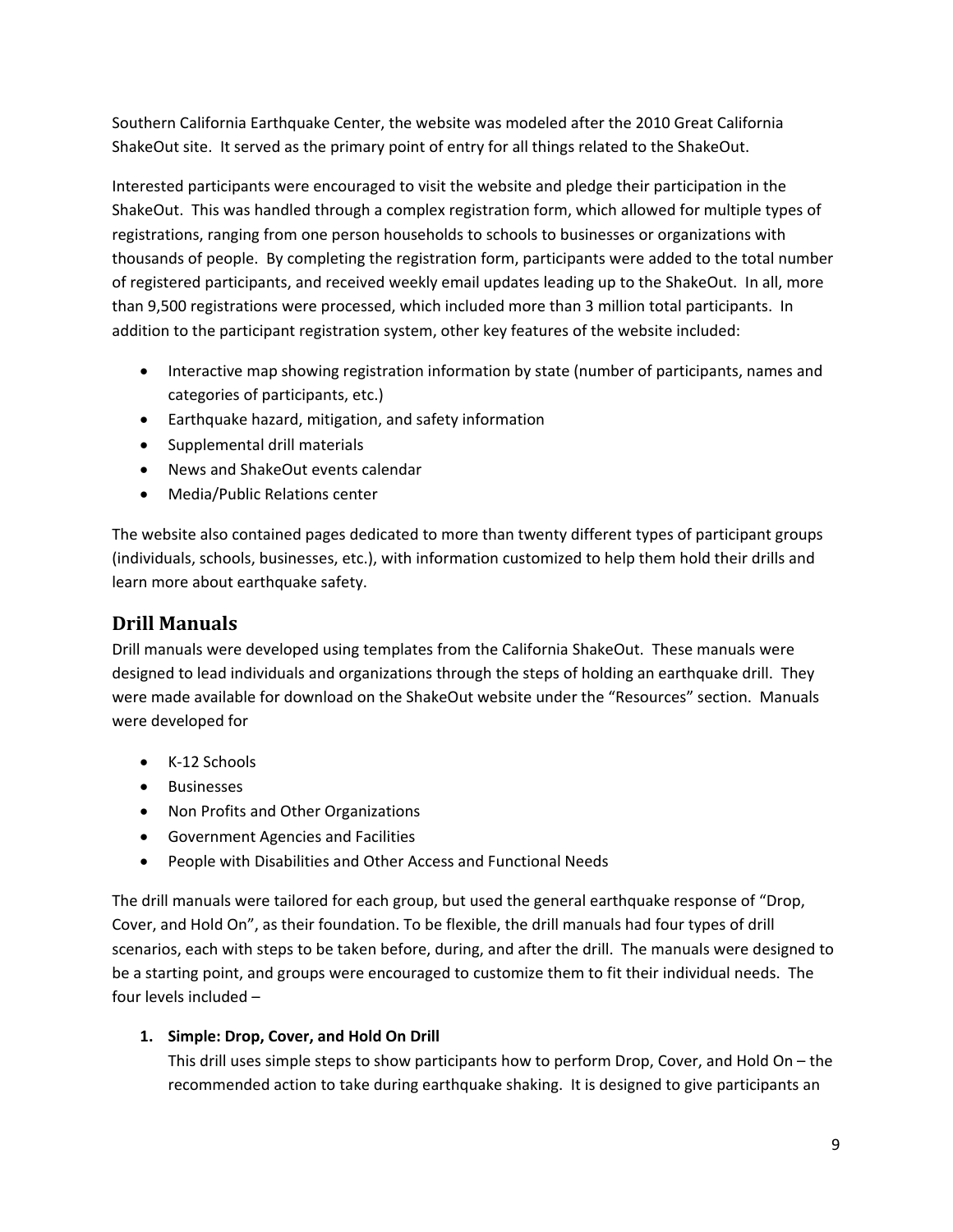Southern California Earthquake Center, the website was modeled after the 2010 Great California ShakeOut site. It served as the primary point of entry for all things related to the ShakeOut.

Interested participants were encouraged to visit the website and pledge their participation in the ShakeOut. This was handled through a complex registration form, which allowed for multiple types of registrations, ranging from one person households to schools to businesses or organizations with thousands of people. By completing the registration form, participants were added to the total number of registered participants, and received weekly email updates leading up to the ShakeOut. In all, more than 9,500 registrations were processed, which included more than 3 million total participants. In addition to the participant registration system, other key features of the website included:

- Interactive map showing registration information by state (number of participants, names and categories of participants, etc.)
- Earthquake hazard, mitigation, and safety information
- Supplemental drill materials
- News and ShakeOut events calendar
- Media/Public Relations center

The website also contained pages dedicated to more than twenty different types of participant groups (individuals, schools, businesses, etc.), with information customized to help them hold their drills and learn more about earthquake safety.

# **Drill Manuals**

Drill manuals were developed using templates from the California ShakeOut. These manuals were designed to lead individuals and organizations through the steps of holding an earthquake drill. They were made available for download on the ShakeOut website under the "Resources" section. Manuals were developed for

- K‐12 Schools
- Businesses
- Non Profits and Other Organizations
- Government Agencies and Facilities
- People with Disabilities and Other Access and Functional Needs

The drill manuals were tailored for each group, but used the general earthquake response of "Drop, Cover, and Hold On", as their foundation. To be flexible, the drill manuals had four types of drill scenarios, each with steps to be taken before, during, and after the drill. The manuals were designed to be a starting point, and groups were encouraged to customize them to fit their individual needs. The four levels included –

## **1. Simple: Drop, Cover, and Hold On Drill**

This drill uses simple steps to show participants how to perform Drop, Cover, and Hold On – the recommended action to take during earthquake shaking. It is designed to give participants an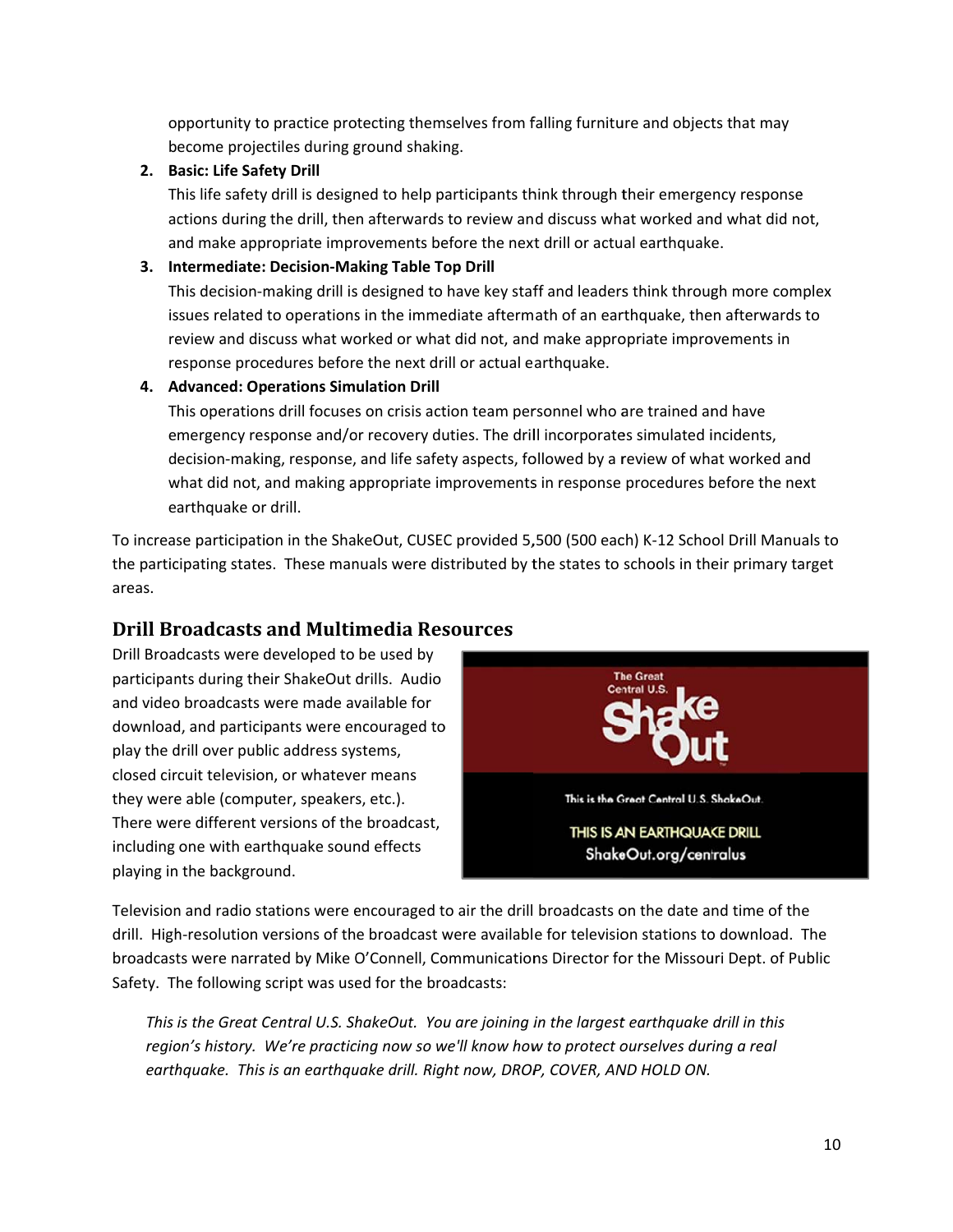opportunity to practice protecting themselves from falling furniture and objects that may become projectiles during ground shaking.

#### 2. Basic: Life Safety Drill

This life safety drill is designed to help participants think through their emergency response actions during the drill, then afterwards to review and discuss what worked and what did not, and make appropriate improvements before the next drill or actual earthquake.

#### 3. Intermediate: Decision-Making Table Top Drill

This decision-making drill is designed to have key staff and leaders think through more complex issues related to operations in the immediate aftermath of an earthquake, then afterwards to review and discuss what worked or what did not, and make appropriate improvements in response procedures before the next drill or actual earthquake.

4. Advanced: Operations Simulation Drill

This operations drill focuses on crisis action team personnel who are trained and have emergency response and/or recovery duties. The drill incorporates simulated incidents, decision-making, response, and life safety aspects, followed by a review of what worked and what did not, and making appropriate improvements in response procedures before the next earthquake or drill.

To increase participation in the ShakeOut, CUSEC provided 5,500 (500 each) K-12 School Drill Manuals to the participating states. These manuals were distributed by the states to schools in their primary target areas.

## **Drill Broadcasts and Multimedia Resources**

Drill Broadcasts were developed to be used by participants during their ShakeOut drills. Audio and video broadcasts were made available for download, and participants were encouraged to play the drill over public address systems, closed circuit television, or whatever means they were able (computer, speakers, etc.). There were different versions of the broadcast, including one with earthquake sound effects playing in the background.



Television and radio stations were encouraged to air the drill broadcasts on the date and time of the drill. High-resolution versions of the broadcast were available for television stations to download. The broadcasts were narrated by Mike O'Connell, Communications Director for the Missouri Dept. of Public Safety. The following script was used for the broadcasts:

This is the Great Central U.S. ShakeOut. You are joining in the largest earthquake drill in this region's history. We're practicing now so we'll know how to protect ourselves during a real earthquake. This is an earthquake drill. Right now, DROP, COVER, AND HOLD ON.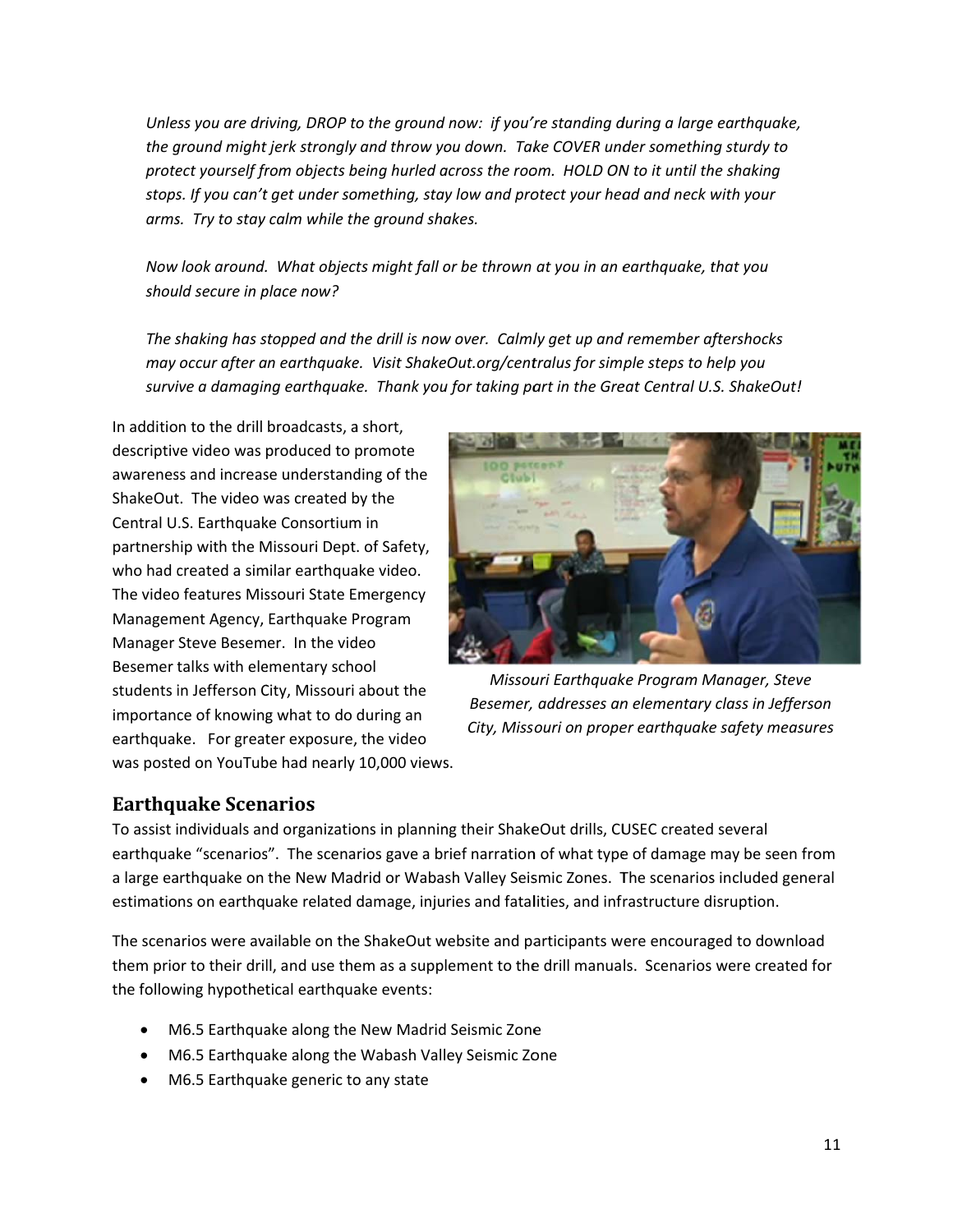Unless you are driving, DROP to the ground now: if you're standing during a large earthquake, the ground might jerk strongly and throw you down. Take COVER under something sturdy to protect yourself from objects being hurled across the room. HOLD ON to it until the shaking stops. If you can't get under something, stay low and protect your head and neck with your arms. Try to stay calm while the ground shakes.

Now look around. What objects might fall or be thrown at you in an earthquake, that you should secure in place now?

The shaking has stopped and the drill is now over. Calmly get up and remember aftershocks may occur after an earthquake. Visit ShakeOut.org/centralus for simple steps to help you survive a damaging earthquake. Thank you for taking part in the Great Central U.S. ShakeOut!

In addition to the drill broadcasts, a short, descriptive video was produced to promote awareness and increase understanding of the ShakeOut. The video was created by the Central U.S. Earthquake Consortium in partnership with the Missouri Dept. of Safety, who had created a similar earthquake video. The video features Missouri State Emergency Management Agency, Earthquake Program Manager Steve Besemer. In the video Besemer talks with elementary school students in Jefferson City, Missouri about the importance of knowing what to do during an earthquake. For greater exposure, the video was posted on YouTube had nearly 10,000 views.



Missouri Earthquake Program Manager, Steve Besemer, addresses an elementary class in Jefferson City, Missouri on proper earthquake safety measures

## **Earthquake Scenarios**

To assist individuals and organizations in planning their ShakeOut drills, CUSEC created several earthquake "scenarios". The scenarios gave a brief narration of what type of damage may be seen from a large earthquake on the New Madrid or Wabash Valley Seismic Zones. The scenarios included general estimations on earthquake related damage, injuries and fatalities, and infrastructure disruption.

The scenarios were available on the ShakeOut website and participants were encouraged to download them prior to their drill, and use them as a supplement to the drill manuals. Scenarios were created for the following hypothetical earthquake events:

- M6.5 Earthquake along the New Madrid Seismic Zone
- M6.5 Earthquake along the Wabash Valley Seismic Zone
- M6.5 Earthquake generic to any state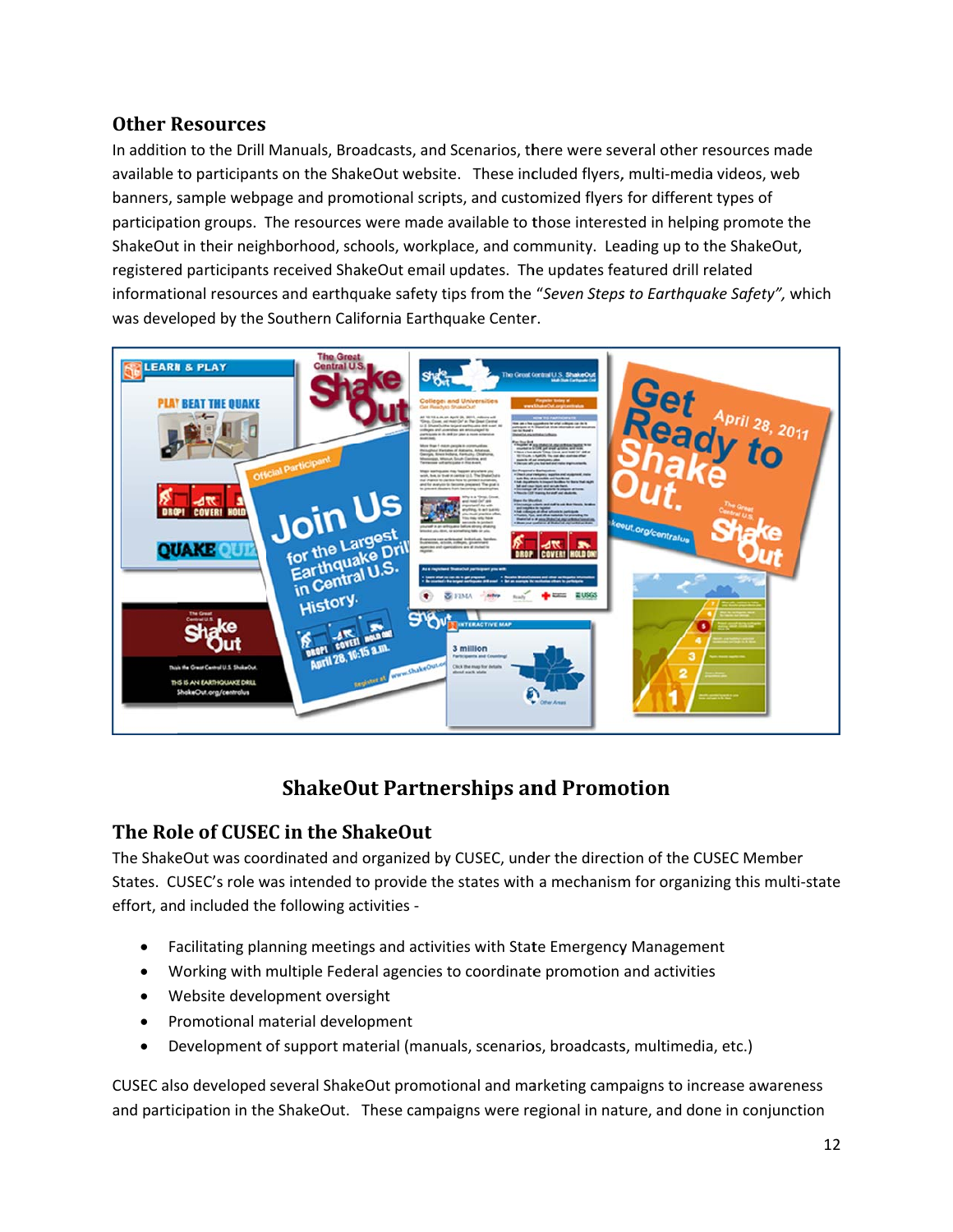## **Other Resources**

In addition to the Drill Manuals, Broadcasts, and Scenarios, there were several other resources made available to participants on the ShakeOut website. These included flyers, multi-media videos, web banners, sample webpage and promotional scripts, and customized flyers for different types of participation groups. The resources were made available to those interested in helping promote the ShakeOut in their neighborhood, schools, workplace, and community. Leading up to the ShakeOut, registered participants received ShakeOut email updates. The updates featured drill related informational resources and earthquake safety tips from the "Seven Steps to Earthquake Safety", which was developed by the Southern California Earthquake Center.



# **ShakeOut Partnerships and Promotion**

## The Role of CUSEC in the ShakeOut

The ShakeOut was coordinated and organized by CUSEC, under the direction of the CUSEC Member States. CUSEC's role was intended to provide the states with a mechanism for organizing this multi-state effort, and included the following activities -

- Facilitating planning meetings and activities with State Emergency Management
- Working with multiple Federal agencies to coordinate promotion and activities
- Website development oversight
- Promotional material development  $\bullet$
- Development of support material (manuals, scenarios, broadcasts, multimedia, etc.)  $\bullet$

CUSEC also developed several ShakeOut promotional and marketing campaigns to increase awareness and participation in the ShakeOut. These campaigns were regional in nature, and done in conjunction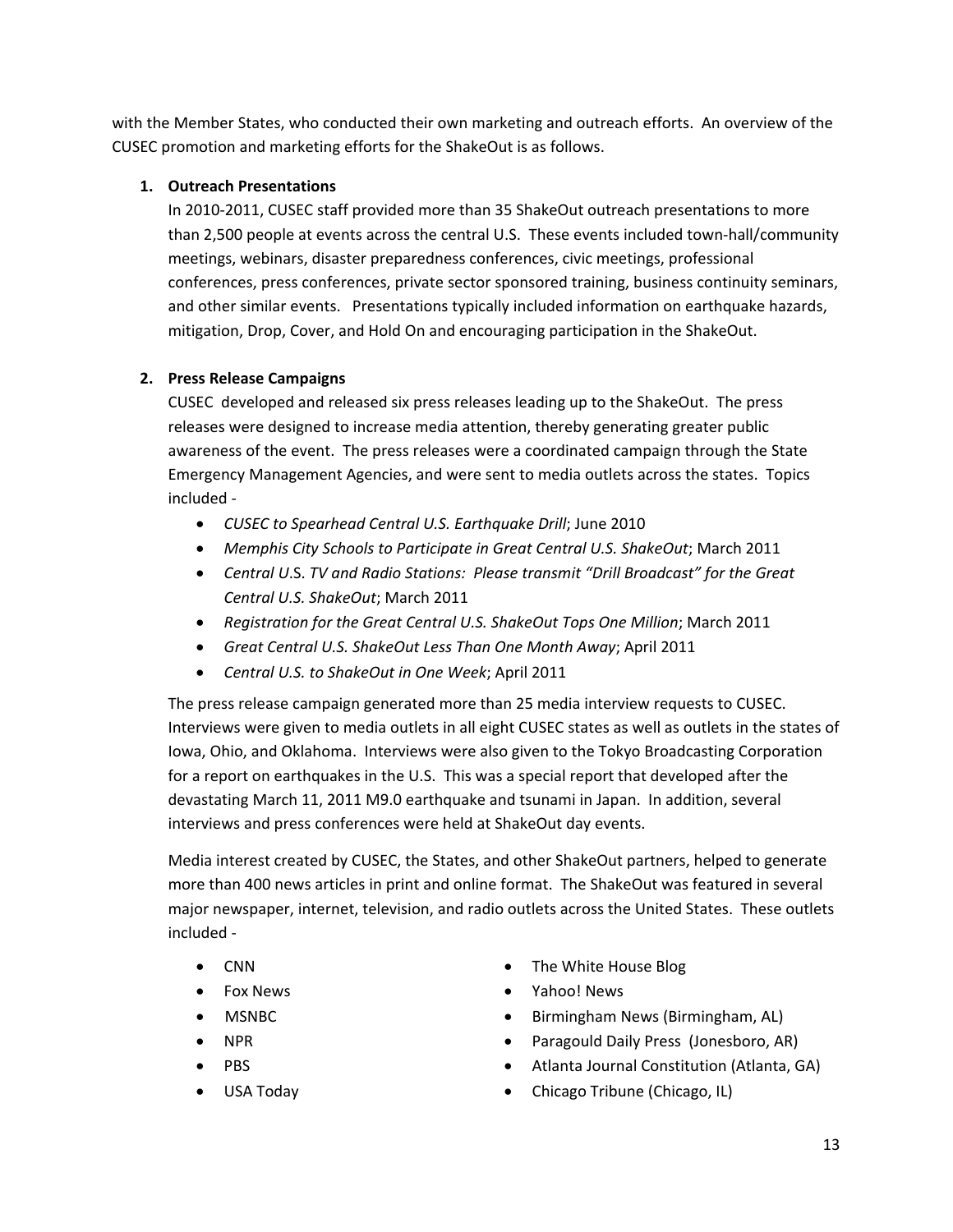with the Member States, who conducted their own marketing and outreach efforts. An overview of the CUSEC promotion and marketing efforts for the ShakeOut is as follows.

#### **1. Outreach Presentations**

In 2010‐2011, CUSEC staff provided more than 35 ShakeOut outreach presentations to more than 2,500 people at events across the central U.S. These events included town‐hall/community meetings, webinars, disaster preparedness conferences, civic meetings, professional conferences, press conferences, private sector sponsored training, business continuity seminars, and other similar events. Presentations typically included information on earthquake hazards, mitigation, Drop, Cover, and Hold On and encouraging participation in the ShakeOut.

## **2. Press Release Campaigns**

CUSEC developed and released six press releases leading up to the ShakeOut. The press releases were designed to increase media attention, thereby generating greater public awareness of the event. The press releases were a coordinated campaign through the State Emergency Management Agencies, and were sent to media outlets across the states. Topics included ‐

- *CUSEC to Spearhead Central U.S. Earthquake Drill*; June 2010
- *Memphis City Schools to Participate in Great Central U.S. ShakeOut*; March 2011
- *Central U*.S. *TV and Radio Stations: Please transmit "Drill Broadcast" for the Great Central U.S. ShakeOut*; March 2011
- *Registration for the Great Central U.S. ShakeOut Tops One Million*; March 2011
- *Great Central U.S. ShakeOut Less Than One Month Away*; April 2011
- *Central U.S. to ShakeOut in One Week*; April 2011

The press release campaign generated more than 25 media interview requests to CUSEC. Interviews were given to media outlets in all eight CUSEC states as well as outlets in the states of Iowa, Ohio, and Oklahoma. Interviews were also given to the Tokyo Broadcasting Corporation for a report on earthquakes in the U.S. This was a special report that developed after the devastating March 11, 2011 M9.0 earthquake and tsunami in Japan. In addition, several interviews and press conferences were held at ShakeOut day events.

Media interest created by CUSEC, the States, and other ShakeOut partners, helped to generate more than 400 news articles in print and online format. The ShakeOut was featured in several major newspaper, internet, television, and radio outlets across the United States. These outlets included ‐

- CNN
- Fox News
- MSNBC
- NPR
- PBS
- USA Today
- The White House Blog
- Yahoo! News
- Birmingham News (Birmingham, AL)
- Paragould Daily Press (Jonesboro, AR)
- Atlanta Journal Constitution (Atlanta, GA)
- Chicago Tribune (Chicago, IL)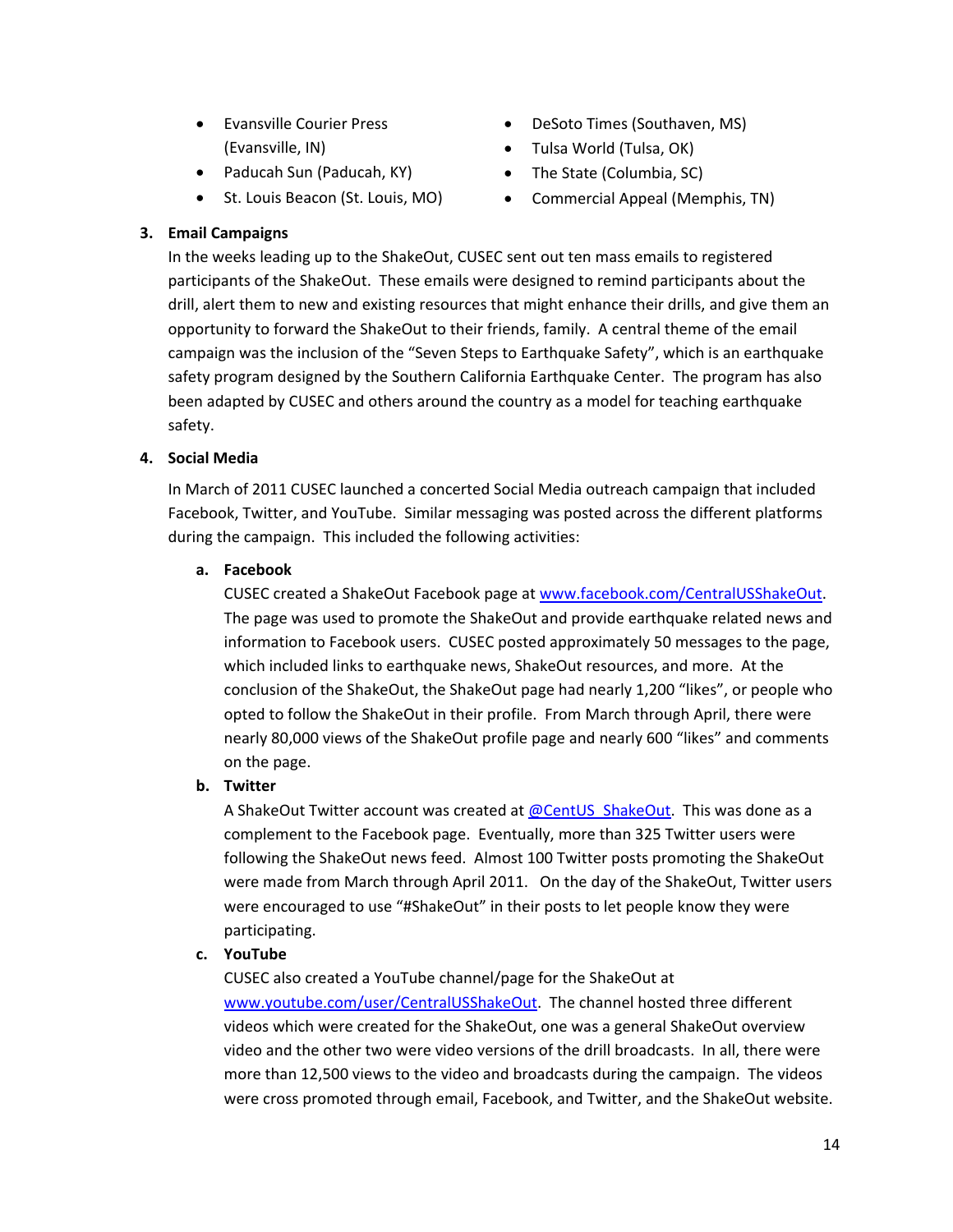- Evansville Courier Press (Evansville, IN)
- Paducah Sun (Paducah, KY)
- St. Louis Beacon (St. Louis, MO)
- DeSoto Times (Southaven, MS)
- Tulsa World (Tulsa, OK)
- The State (Columbia, SC)
- Commercial Appeal (Memphis, TN)

#### **3. Email Campaigns**

In the weeks leading up to the ShakeOut, CUSEC sent out ten mass emails to registered participants of the ShakeOut. These emails were designed to remind participants about the drill, alert them to new and existing resources that might enhance their drills, and give them an opportunity to forward the ShakeOut to their friends, family. A central theme of the email campaign was the inclusion of the "Seven Steps to Earthquake Safety", which is an earthquake safety program designed by the Southern California Earthquake Center. The program has also been adapted by CUSEC and others around the country as a model for teaching earthquake safety.

#### **4. Social Media**

In March of 2011 CUSEC launched a concerted Social Media outreach campaign that included Facebook, Twitter, and YouTube. Similar messaging was posted across the different platforms during the campaign. This included the following activities:

#### **a. Facebook**

CUSEC created a ShakeOut Facebook page at www.facebook.com/CentralUSShakeOut. The page was used to promote the ShakeOut and provide earthquake related news and information to Facebook users. CUSEC posted approximately 50 messages to the page, which included links to earthquake news, ShakeOut resources, and more. At the conclusion of the ShakeOut, the ShakeOut page had nearly 1,200 "likes", or people who opted to follow the ShakeOut in their profile. From March through April, there were nearly 80,000 views of the ShakeOut profile page and nearly 600 "likes" and comments on the page.

#### **b. Twitter**

A ShakeOut Twitter account was created at @CentUS\_ShakeOut. This was done as a complement to the Facebook page. Eventually, more than 325 Twitter users were following the ShakeOut news feed. Almost 100 Twitter posts promoting the ShakeOut were made from March through April 2011. On the day of the ShakeOut, Twitter users were encouraged to use "#ShakeOut" in their posts to let people know they were participating.

#### **c. YouTube**

CUSEC also created a YouTube channel/page for the ShakeOut at www.youtube.com/user/CentralUSShakeOut. The channel hosted three different videos which were created for the ShakeOut, one was a general ShakeOut overview video and the other two were video versions of the drill broadcasts. In all, there were more than 12,500 views to the video and broadcasts during the campaign. The videos were cross promoted through email, Facebook, and Twitter, and the ShakeOut website.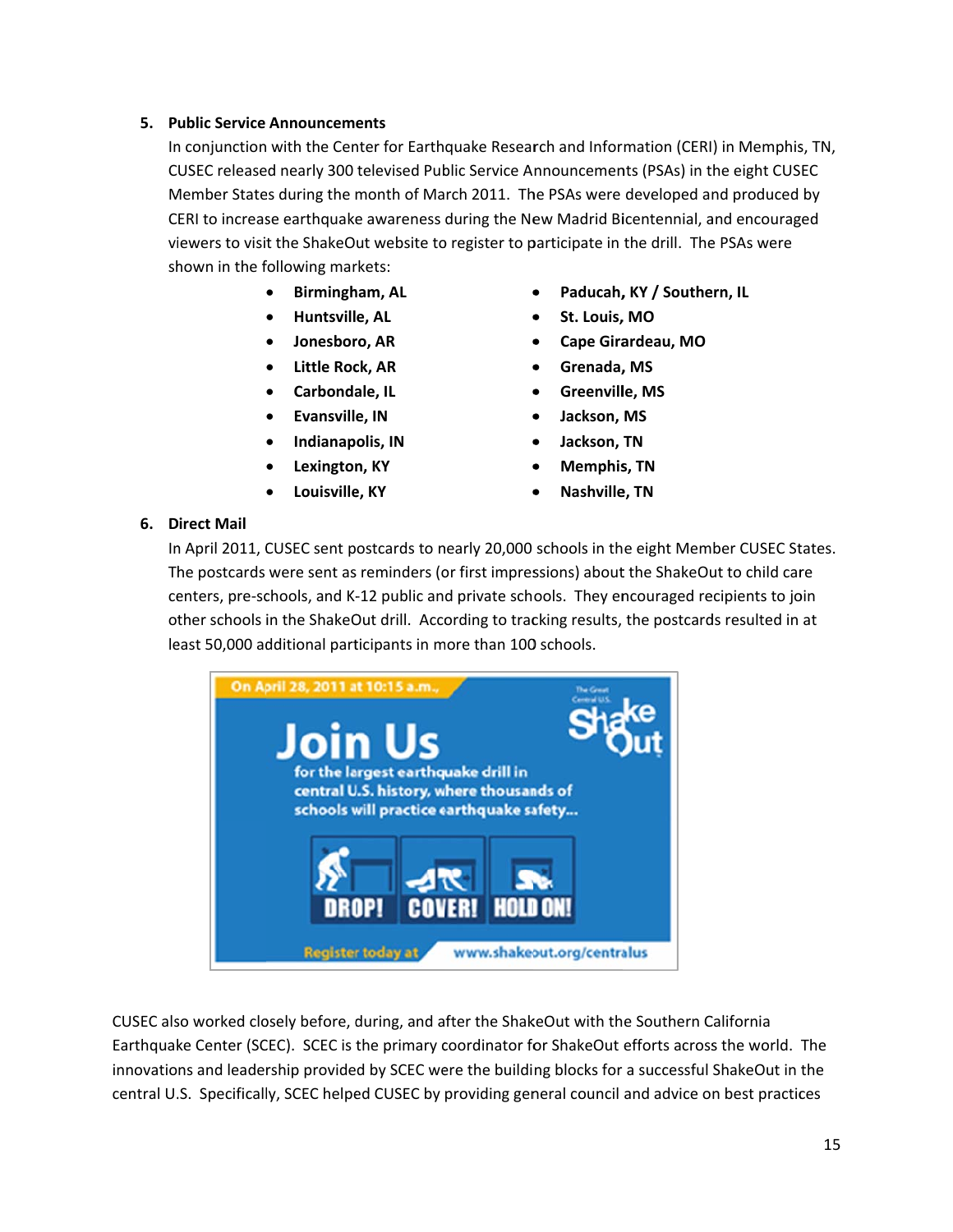#### 5. Public Service Announcements

In conjunction with the Center for Earthquake Research and Information (CERI) in Memphis, TN, CUSEC released nearly 300 televised Public Service Announcements (PSAs) in the eight CUSEC Member States during the month of March 2011. The PSAs were developed and produced by CERI to increase earthquake awareness during the New Madrid Bicentennial, and encouraged viewers to visit the ShakeOut website to register to participate in the drill. The PSAs were shown in the following markets:

- Birmingham, AL  $\bullet$
- Huntsville, AL
- · Jonesboro, AR
- Little Rock, AR
- Carbondale, IL
- Evansville, IN
- · Indianapolis, IN
- Lexington, KY  $\bullet$
- Louisville, KY
- Paducah, KY / Southern, IL
- St. Louis, MO
- Cape Girardeau, MO
- Grenada, MS
- **Greenville, MS**
- Jackson, MS
- Jackson, TN
- **Memphis, TN**
- Nashville, TN

#### 6. Direct Mail

In April 2011, CUSEC sent postcards to nearly 20,000 schools in the eight Member CUSEC States. The postcards were sent as reminders (or first impressions) about the ShakeOut to child care centers, pre-schools, and K-12 public and private schools. They encouraged recipients to join other schools in the ShakeOut drill. According to tracking results, the postcards resulted in at least 50,000 additional participants in more than 100 schools.



CUSEC also worked closely before, during, and after the ShakeOut with the Southern California Earthquake Center (SCEC). SCEC is the primary coordinator for ShakeOut efforts across the world. The innovations and leadership provided by SCEC were the building blocks for a successful ShakeOut in the central U.S. Specifically, SCEC helped CUSEC by providing general council and advice on best practices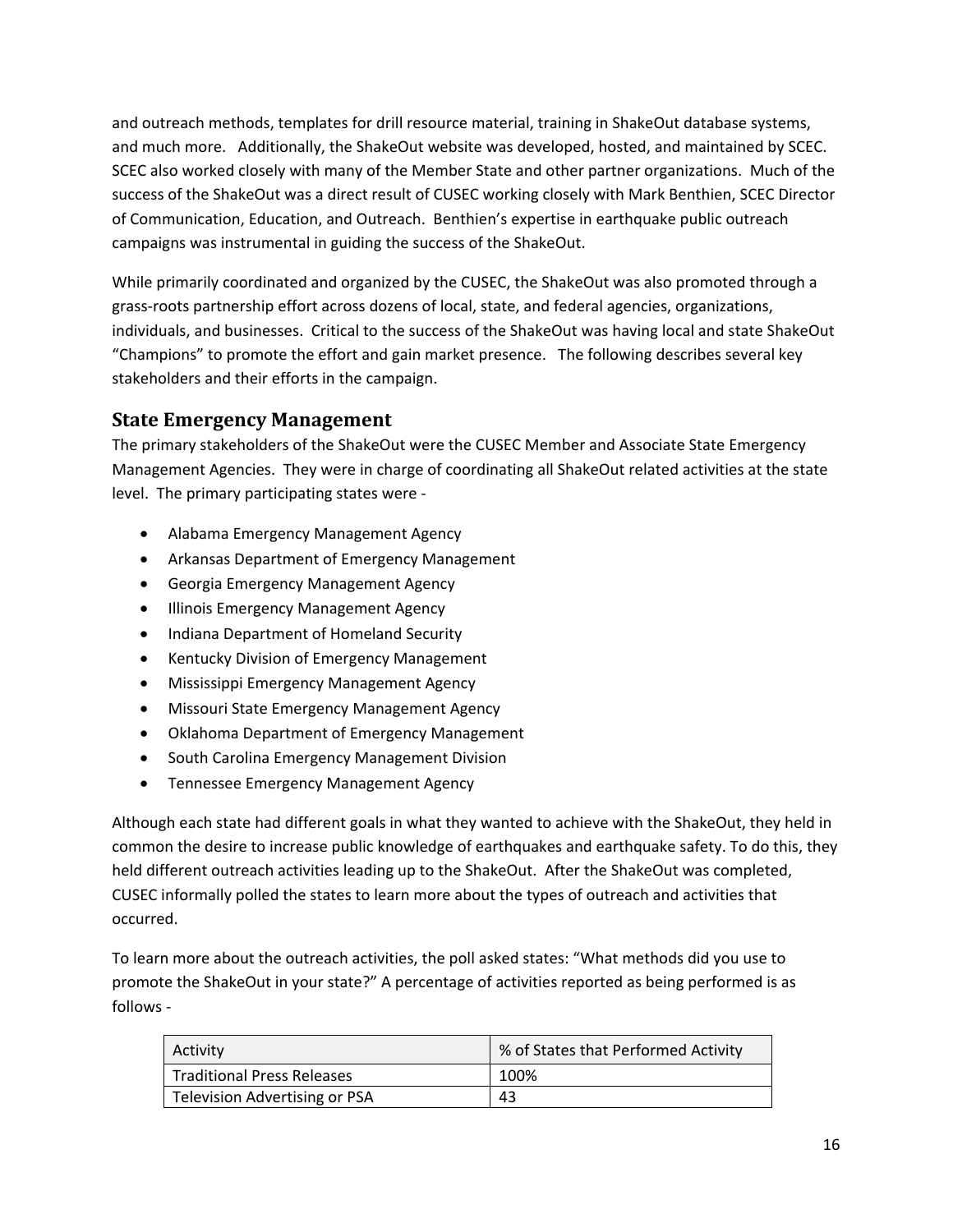and outreach methods, templates for drill resource material, training in ShakeOut database systems, and much more. Additionally, the ShakeOut website was developed, hosted, and maintained by SCEC. SCEC also worked closely with many of the Member State and other partner organizations. Much of the success of the ShakeOut was a direct result of CUSEC working closely with Mark Benthien, SCEC Director of Communication, Education, and Outreach. Benthien's expertise in earthquake public outreach campaigns was instrumental in guiding the success of the ShakeOut.

While primarily coordinated and organized by the CUSEC, the ShakeOut was also promoted through a grass‐roots partnership effort across dozens of local, state, and federal agencies, organizations, individuals, and businesses. Critical to the success of the ShakeOut was having local and state ShakeOut "Champions" to promote the effort and gain market presence. The following describes several key stakeholders and their efforts in the campaign.

## **State Emergency Management**

The primary stakeholders of the ShakeOut were the CUSEC Member and Associate State Emergency Management Agencies. They were in charge of coordinating all ShakeOut related activities at the state level. The primary participating states were ‐

- Alabama Emergency Management Agency
- Arkansas Department of Emergency Management
- Georgia Emergency Management Agency
- Illinois Emergency Management Agency
- Indiana Department of Homeland Security
- Kentucky Division of Emergency Management
- Mississippi Emergency Management Agency
- Missouri State Emergency Management Agency
- Oklahoma Department of Emergency Management
- South Carolina Emergency Management Division
- Tennessee Emergency Management Agency

Although each state had different goals in what they wanted to achieve with the ShakeOut, they held in common the desire to increase public knowledge of earthquakes and earthquake safety. To do this, they held different outreach activities leading up to the ShakeOut. After the ShakeOut was completed, CUSEC informally polled the states to learn more about the types of outreach and activities that occurred.

To learn more about the outreach activities, the poll asked states: "What methods did you use to promote the ShakeOut in your state?" A percentage of activities reported as being performed is as follows ‐

| Activity                          | % of States that Performed Activity |
|-----------------------------------|-------------------------------------|
| <b>Traditional Press Releases</b> | 100%                                |
| Television Advertising or PSA     | 43                                  |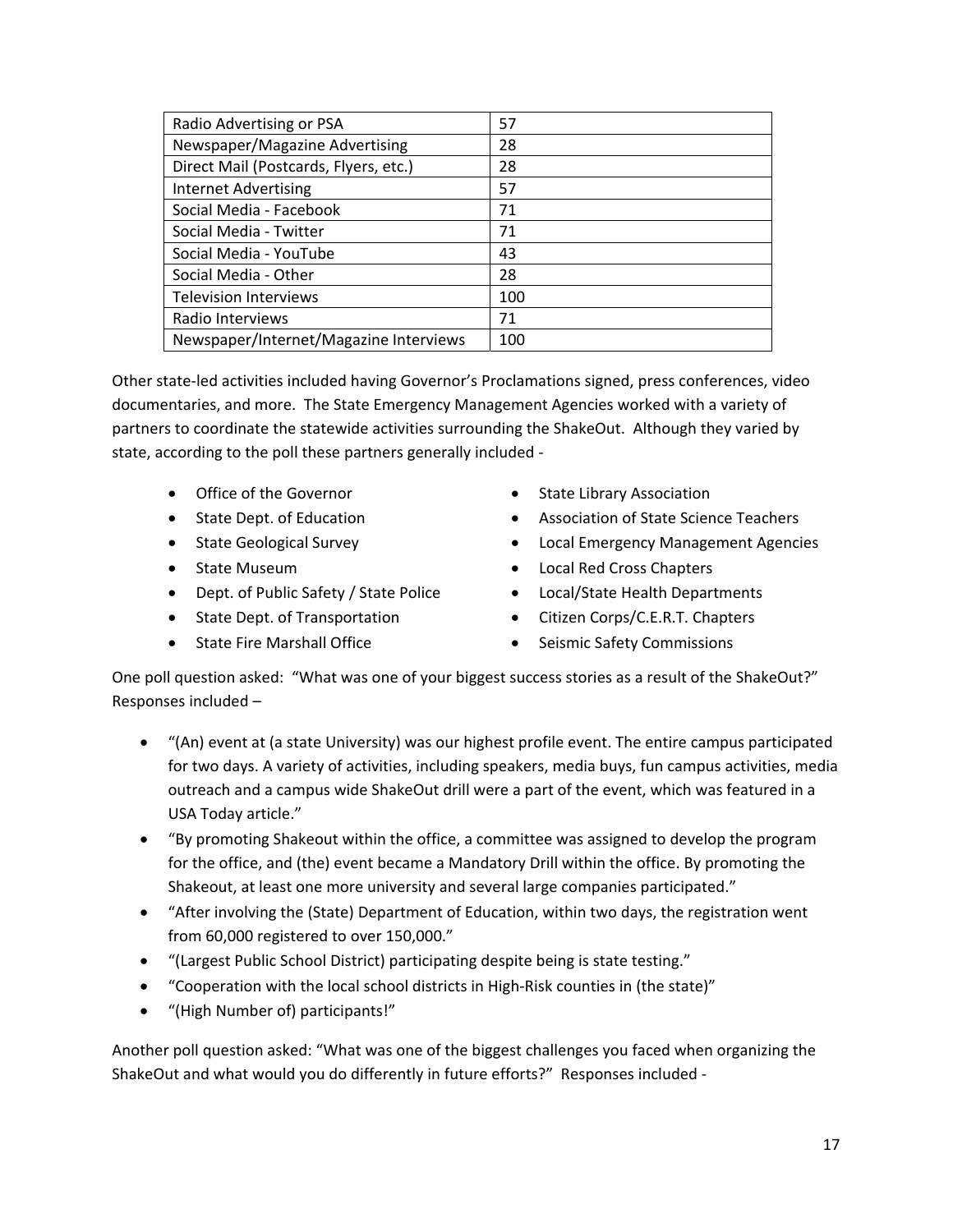| Radio Advertising or PSA               | 57  |
|----------------------------------------|-----|
| Newspaper/Magazine Advertising         | 28  |
| Direct Mail (Postcards, Flyers, etc.)  | 28  |
| <b>Internet Advertising</b>            | 57  |
| Social Media - Facebook                | 71  |
| Social Media - Twitter                 | 71  |
| Social Media - YouTube                 | 43  |
| Social Media - Other                   | 28  |
| <b>Television Interviews</b>           | 100 |
| Radio Interviews                       | 71  |
| Newspaper/Internet/Magazine Interviews | 100 |

Other state‐led activities included having Governor's Proclamations signed, press conferences, video documentaries, and more. The State Emergency Management Agencies worked with a variety of partners to coordinate the statewide activities surrounding the ShakeOut. Although they varied by state, according to the poll these partners generally included ‐

- Office of the Governor
- State Dept. of Education
- State Geological Survey
- State Museum
- Dept. of Public Safety / State Police
- State Dept. of Transportation
- State Fire Marshall Office
- State Library Association
- Association of State Science Teachers
- Local Emergency Management Agencies
- Local Red Cross Chapters
- Local/State Health Departments
- Citizen Corps/C.E.R.T. Chapters
- Seismic Safety Commissions

One poll question asked: "What was one of your biggest success stories as a result of the ShakeOut?" Responses included –

- "(An) event at (a state University) was our highest profile event. The entire campus participated for two days. A variety of activities, including speakers, media buys, fun campus activities, media outreach and a campus wide ShakeOut drill were a part of the event, which was featured in a USA Today article."
- "By promoting Shakeout within the office, a committee was assigned to develop the program for the office, and (the) event became a Mandatory Drill within the office. By promoting the Shakeout, at least one more university and several large companies participated."
- "After involving the (State) Department of Education, within two days, the registration went from 60,000 registered to over 150,000."
- "(Largest Public School District) participating despite being is state testing."
- "Cooperation with the local school districts in High‐Risk counties in (the state)"
- "(High Number of) participants!"

Another poll question asked: "What was one of the biggest challenges you faced when organizing the ShakeOut and what would you do differently in future efforts?" Responses included ‐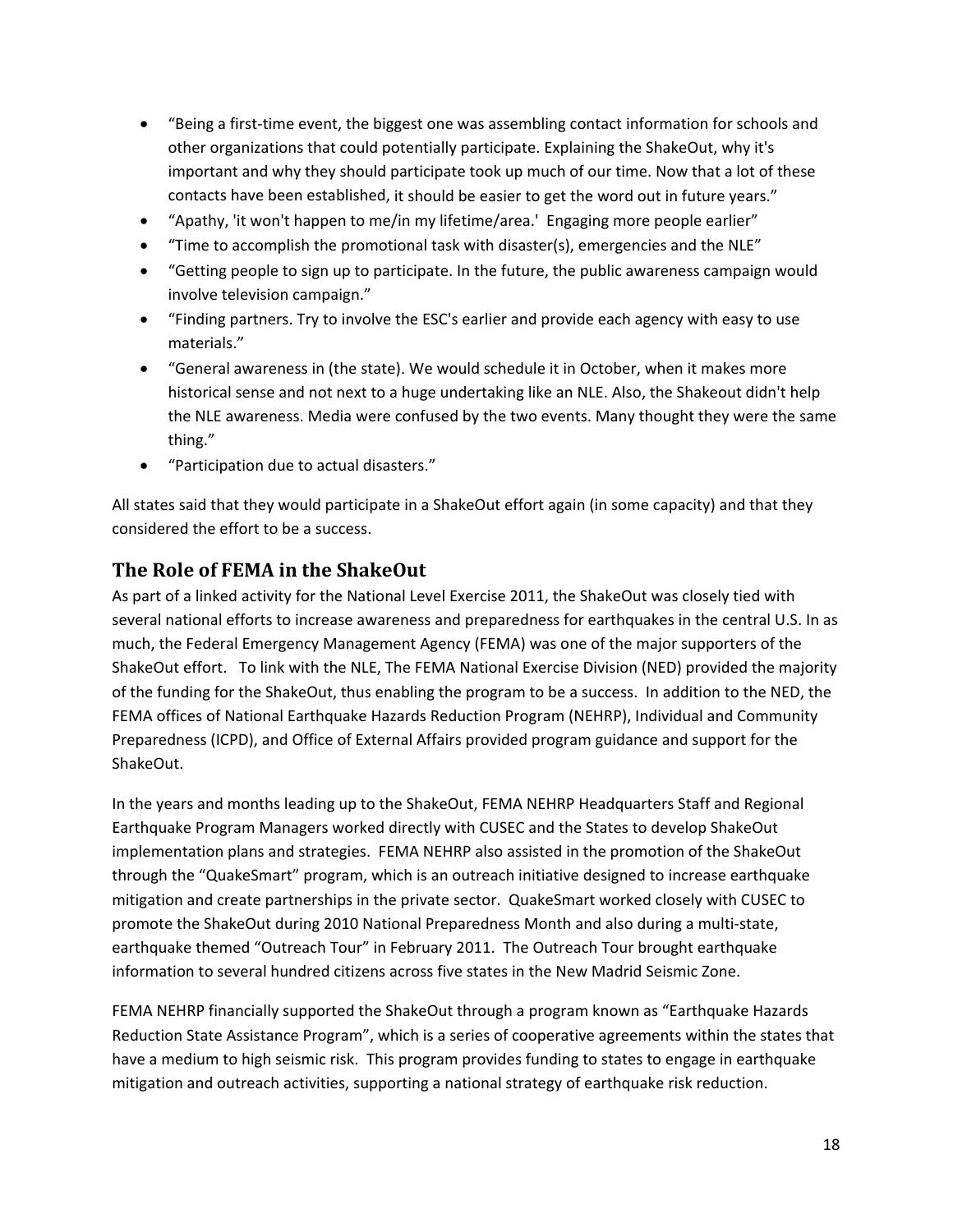- "Being a first-time event, the biggest one was assembling contact information for schools and other organizations that could potentially participate. Explaining the ShakeOut, why it's important and why they should participate took up much of our time. Now that a lot of these contacts have been established, it should be easier to get the word out in future years."
- "Apathy, 'it won't happen to me/in my lifetime/area.' Engaging more people earlier"
- "Time to accomplish the promotional task with disaster(s), emergencies and the NLE"
- "Getting people to sign up to participate. In the future, the public awareness campaign would involve television campaign."
- "Finding partners. Try to involve the ESC's earlier and provide each agency with easy to use materials."
- "General awareness in (the state). We would schedule it in October, when it makes more historical sense and not next to a huge undertaking like an NLE. Also, the Shakeout didn't help the NLE awareness. Media were confused by the two events. Many thought they were the same thing."
- "Participation due to actual disasters."

All states said that they would participate in a ShakeOut effort again (in some capacity) and that they considered the effort to be a success.

## **The Role of FEMA in the ShakeOut**

As part of a linked activity for the National Level Exercise 2011, the ShakeOut was closely tied with several national efforts to increase awareness and preparedness for earthquakes in the central U.S. In as much, the Federal Emergency Management Agency (FEMA) was one of the major supporters of the ShakeOut effort. To link with the NLE, The FEMA National Exercise Division (NED) provided the majority of the funding for the ShakeOut, thus enabling the program to be a success. In addition to the NED, the FEMA offices of National Earthquake Hazards Reduction Program (NEHRP), Individual and Community Preparedness (ICPD), and Office of External Affairs provided program guidance and support for the ShakeOut.

In the years and months leading up to the ShakeOut, FEMA NEHRP Headquarters Staff and Regional Earthquake Program Managers worked directly with CUSEC and the States to develop ShakeOut implementation plans and strategies. FEMA NEHRP also assisted in the promotion of the ShakeOut through the "QuakeSmart" program, which is an outreach initiative designed to increase earthquake mitigation and create partnerships in the private sector. QuakeSmart worked closely with CUSEC to promote the ShakeOut during 2010 National Preparedness Month and also during a multi‐state, earthquake themed "Outreach Tour" in February 2011. The Outreach Tour brought earthquake information to several hundred citizens across five states in the New Madrid Seismic Zone.

FEMA NEHRP financially supported the ShakeOut through a program known as "Earthquake Hazards Reduction State Assistance Program", which is a series of cooperative agreements within the states that have a medium to high seismic risk. This program provides funding to states to engage in earthquake mitigation and outreach activities, supporting a national strategy of earthquake risk reduction.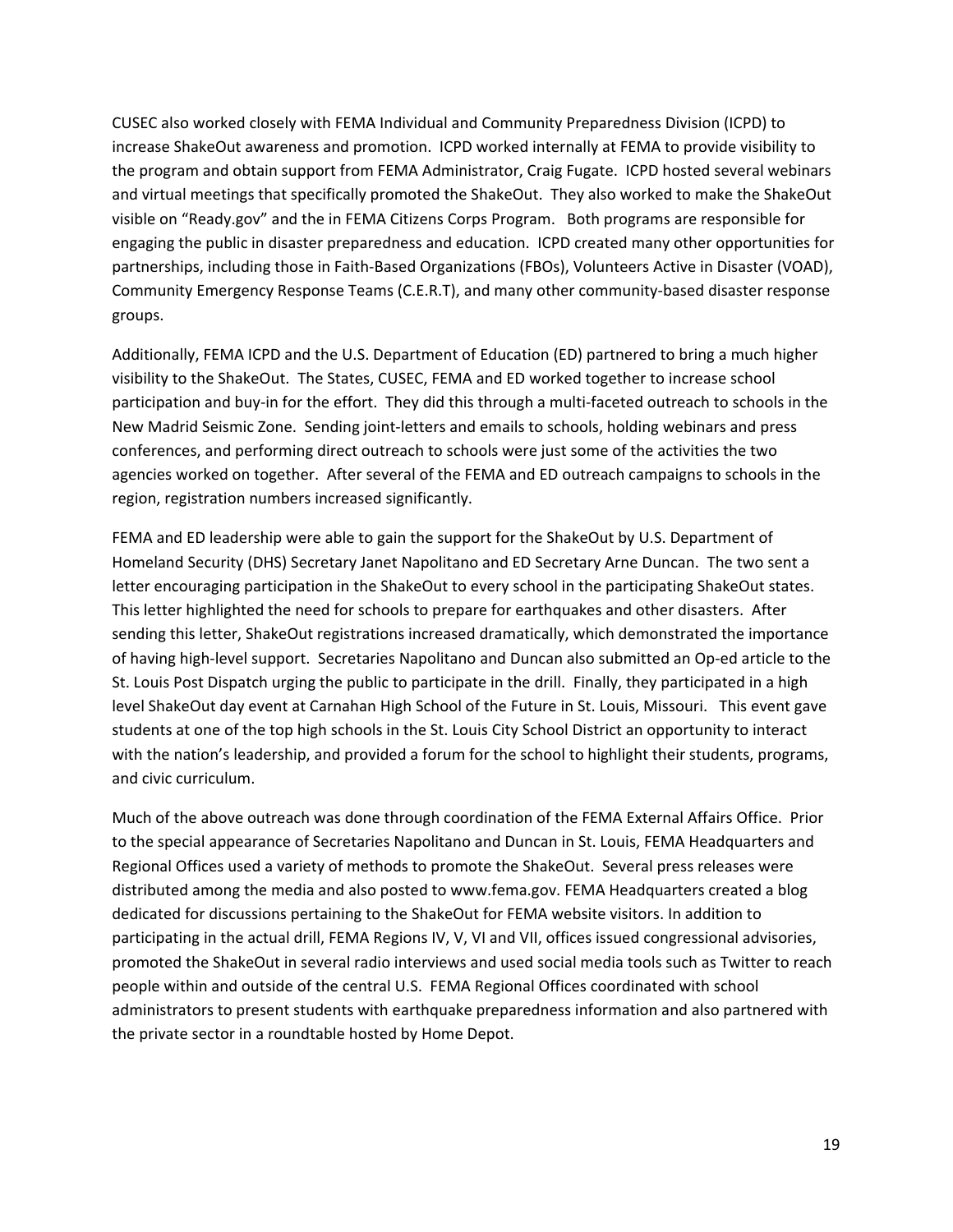CUSEC also worked closely with FEMA Individual and Community Preparedness Division (ICPD) to increase ShakeOut awareness and promotion. ICPD worked internally at FEMA to provide visibility to the program and obtain support from FEMA Administrator, Craig Fugate. ICPD hosted several webinars and virtual meetings that specifically promoted the ShakeOut. They also worked to make the ShakeOut visible on "Ready.gov" and the in FEMA Citizens Corps Program. Both programs are responsible for engaging the public in disaster preparedness and education. ICPD created many other opportunities for partnerships, including those in Faith‐Based Organizations (FBOs), Volunteers Active in Disaster (VOAD), Community Emergency Response Teams (C.E.R.T), and many other community‐based disaster response groups.

Additionally, FEMA ICPD and the U.S. Department of Education (ED) partnered to bring a much higher visibility to the ShakeOut. The States, CUSEC, FEMA and ED worked together to increase school participation and buy-in for the effort. They did this through a multi-faceted outreach to schools in the New Madrid Seismic Zone. Sending joint‐letters and emails to schools, holding webinars and press conferences, and performing direct outreach to schools were just some of the activities the two agencies worked on together. After several of the FEMA and ED outreach campaigns to schools in the region, registration numbers increased significantly.

FEMA and ED leadership were able to gain the support for the ShakeOut by U.S. Department of Homeland Security (DHS) Secretary Janet Napolitano and ED Secretary Arne Duncan. The two sent a letter encouraging participation in the ShakeOut to every school in the participating ShakeOut states. This letter highlighted the need for schools to prepare for earthquakes and other disasters. After sending this letter, ShakeOut registrations increased dramatically, which demonstrated the importance of having high‐level support. Secretaries Napolitano and Duncan also submitted an Op‐ed article to the St. Louis Post Dispatch urging the public to participate in the drill. Finally, they participated in a high level ShakeOut day event at Carnahan High School of the Future in St. Louis, Missouri. This event gave students at one of the top high schools in the St. Louis City School District an opportunity to interact with the nation's leadership, and provided a forum for the school to highlight their students, programs, and civic curriculum.

Much of the above outreach was done through coordination of the FEMA External Affairs Office. Prior to the special appearance of Secretaries Napolitano and Duncan in St. Louis, FEMA Headquarters and Regional Offices used a variety of methods to promote the ShakeOut. Several press releases were distributed among the media and also posted to www.fema.gov. FEMA Headquarters created a blog dedicated for discussions pertaining to the ShakeOut for FEMA website visitors. In addition to participating in the actual drill, FEMA Regions IV, V, VI and VII, offices issued congressional advisories, promoted the ShakeOut in several radio interviews and used social media tools such as Twitter to reach people within and outside of the central U.S. FEMA Regional Offices coordinated with school administrators to present students with earthquake preparedness information and also partnered with the private sector in a roundtable hosted by Home Depot.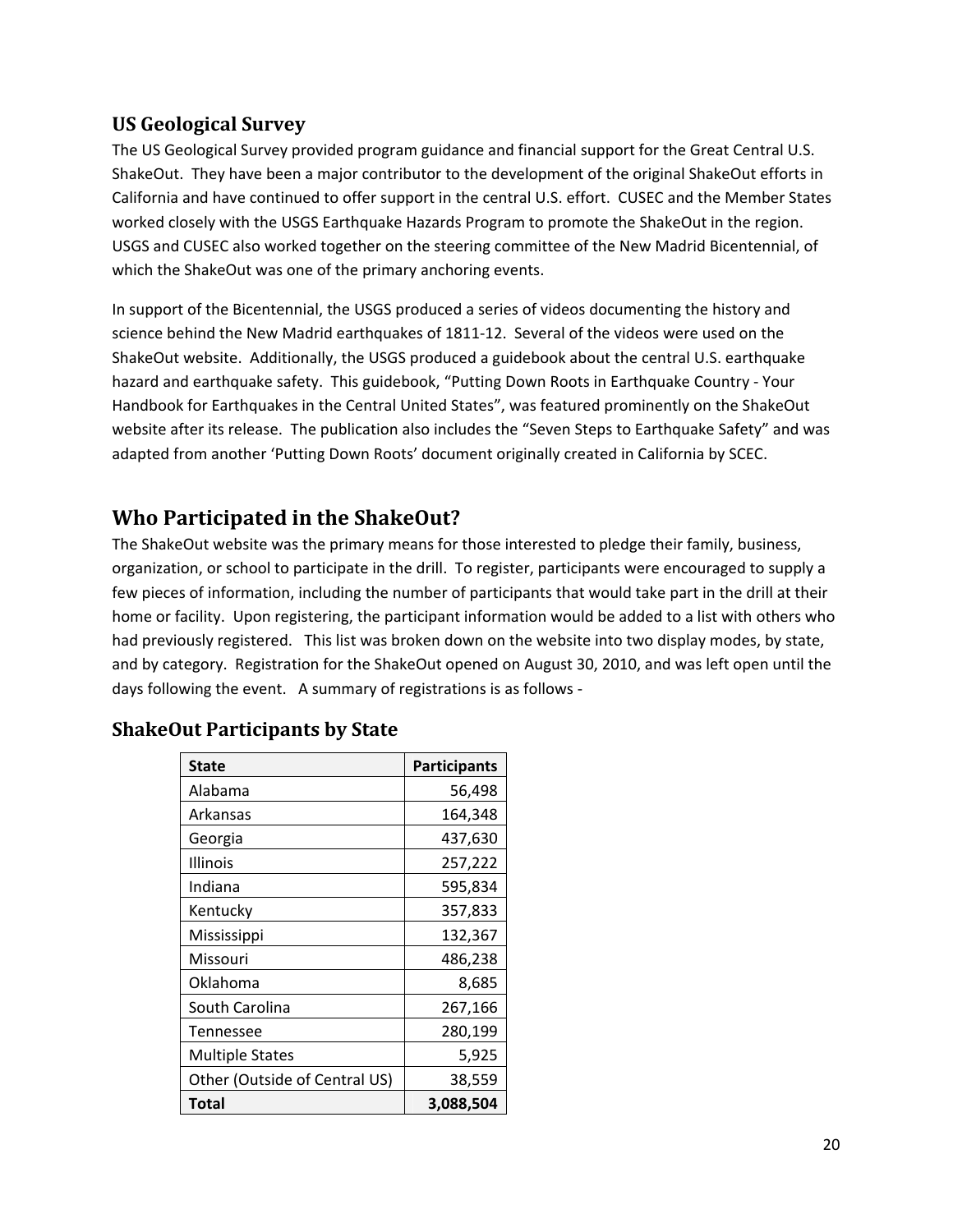## **US Geological Survey**

The US Geological Survey provided program guidance and financial support for the Great Central U.S. ShakeOut. They have been a major contributor to the development of the original ShakeOut efforts in California and have continued to offer support in the central U.S. effort. CUSEC and the Member States worked closely with the USGS Earthquake Hazards Program to promote the ShakeOut in the region. USGS and CUSEC also worked together on the steering committee of the New Madrid Bicentennial, of which the ShakeOut was one of the primary anchoring events.

In support of the Bicentennial, the USGS produced a series of videos documenting the history and science behind the New Madrid earthquakes of 1811‐12. Several of the videos were used on the ShakeOut website. Additionally, the USGS produced a guidebook about the central U.S. earthquake hazard and earthquake safety. This guidebook, "Putting Down Roots in Earthquake Country ‐ Your Handbook for Earthquakes in the Central United States", was featured prominently on the ShakeOut website after its release. The publication also includes the "Seven Steps to Earthquake Safety" and was adapted from another 'Putting Down Roots' document originally created in California by SCEC.

# **Who Participated in the ShakeOut?**

The ShakeOut website was the primary means for those interested to pledge their family, business, organization, or school to participate in the drill. To register, participants were encouraged to supply a few pieces of information, including the number of participants that would take part in the drill at their home or facility. Upon registering, the participant information would be added to a list with others who had previously registered. This list was broken down on the website into two display modes, by state, and by category. Registration for the ShakeOut opened on August 30, 2010, and was left open until the days following the event. A summary of registrations is as follows -

| <b>State</b>                  | <b>Participants</b> |
|-------------------------------|---------------------|
| Alabama                       | 56,498              |
| Arkansas                      | 164,348             |
| Georgia                       | 437,630             |
| Illinois                      | 257,222             |
| Indiana                       | 595,834             |
| Kentucky                      | 357,833             |
| Mississippi                   | 132,367             |
| Missouri                      | 486,238             |
| Oklahoma                      | 8,685               |
| South Carolina                | 267,166             |
| <b>Tennessee</b>              | 280,199             |
| <b>Multiple States</b>        | 5,925               |
| Other (Outside of Central US) | 38,559              |
| <b>Total</b>                  | 3,088,504           |

## **ShakeOut Participants by State**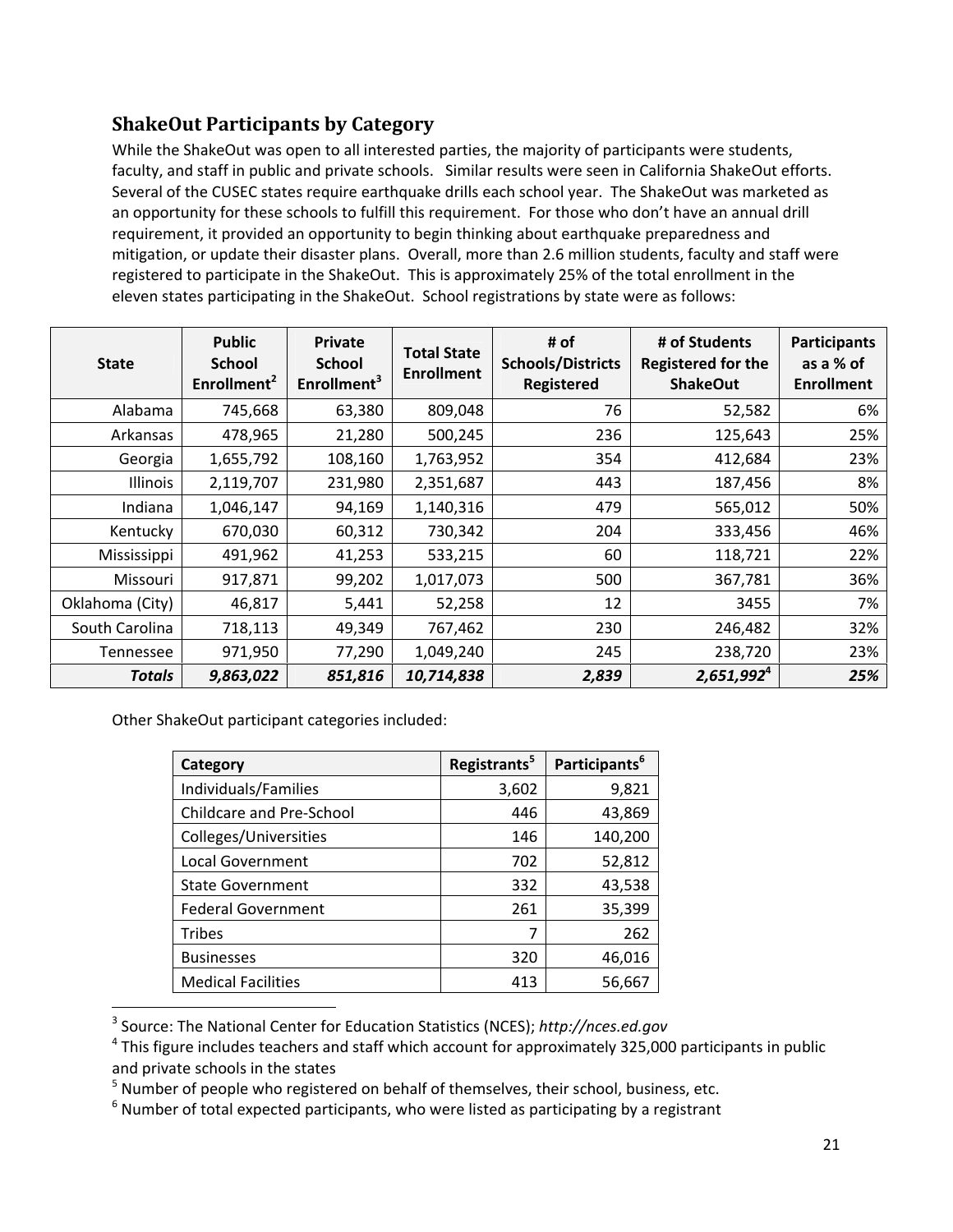## **ShakeOut Participants by Category**

While the ShakeOut was open to all interested parties, the majority of participants were students, faculty, and staff in public and private schools. Similar results were seen in California ShakeOut efforts. Several of the CUSEC states require earthquake drills each school year. The ShakeOut was marketed as an opportunity for these schools to fulfill this requirement. For those who don't have an annual drill requirement, it provided an opportunity to begin thinking about earthquake preparedness and mitigation, or update their disaster plans. Overall, more than 2.6 million students, faculty and staff were registered to participate in the ShakeOut. This is approximately 25% of the total enrollment in the eleven states participating in the ShakeOut. School registrations by state were as follows:

| <b>State</b>     | <b>Public</b><br><b>School</b><br>Enrollment <sup>2</sup> | <b>Private</b><br><b>School</b><br>Enrollment <sup>3</sup> | <b>Total State</b><br><b>Enrollment</b> | # of<br><b>Schools/Districts</b><br><b>Registered</b> | # of Students<br><b>Registered for the</b><br><b>ShakeOut</b> | <b>Participants</b><br>as a % of<br><b>Enrollment</b> |
|------------------|-----------------------------------------------------------|------------------------------------------------------------|-----------------------------------------|-------------------------------------------------------|---------------------------------------------------------------|-------------------------------------------------------|
| Alabama          | 745,668                                                   | 63,380                                                     | 809,048                                 | 76                                                    | 52,582                                                        | 6%                                                    |
| Arkansas         | 478,965                                                   | 21,280                                                     | 500,245                                 | 236                                                   | 125,643                                                       | 25%                                                   |
| Georgia          | 1,655,792                                                 | 108,160                                                    | 1,763,952                               | 354                                                   | 412,684                                                       | 23%                                                   |
| Illinois         | 2,119,707                                                 | 231,980                                                    | 2,351,687                               | 443                                                   | 187,456                                                       | 8%                                                    |
| Indiana          | 1,046,147                                                 | 94,169                                                     | 1,140,316                               | 479                                                   | 565,012                                                       | 50%                                                   |
| Kentucky         | 670,030                                                   | 60,312                                                     | 730,342                                 | 204                                                   | 333,456                                                       | 46%                                                   |
| Mississippi      | 491,962                                                   | 41,253                                                     | 533,215                                 | 60                                                    | 118,721                                                       | 22%                                                   |
| Missouri         | 917,871                                                   | 99,202                                                     | 1,017,073                               | 500                                                   | 367,781                                                       | 36%                                                   |
| Oklahoma (City)  | 46,817                                                    | 5,441                                                      | 52,258                                  | 12                                                    | 3455                                                          | 7%                                                    |
| South Carolina   | 718,113                                                   | 49,349                                                     | 767,462                                 | 230                                                   | 246,482                                                       | 32%                                                   |
| <b>Tennessee</b> | 971,950                                                   | 77,290                                                     | 1,049,240                               | 245                                                   | 238,720                                                       | 23%                                                   |
| Totals           | 9,863,022                                                 | 851,816                                                    | 10,714,838                              | 2,839                                                 | $2,651,992^4$                                                 | 25%                                                   |

Other ShakeOut participant categories included:

| Category                  | Registrants <sup>5</sup> | Participants <sup>6</sup> |
|---------------------------|--------------------------|---------------------------|
| Individuals/Families      | 3,602                    | 9,821                     |
| Childcare and Pre-School  | 446                      | 43,869                    |
| Colleges/Universities     | 146                      | 140,200                   |
| <b>Local Government</b>   | 702                      | 52,812                    |
| <b>State Government</b>   | 332                      | 43,538                    |
| <b>Federal Government</b> | 261                      | 35,399                    |
| <b>Tribes</b>             | 7                        | 262                       |
| <b>Businesses</b>         | 320                      | 46,016                    |
| <b>Medical Facilities</b> | 413                      | 56,667                    |

<sup>3</sup> Source: The National Center for Education Statistics (NCES); *http://nces.ed.gov*

 $<sup>4</sup>$  This figure includes teachers and staff which account for approximately 325,000 participants in public</sup> and private schools in the states

<sup>&</sup>lt;sup>5</sup> Number of people who registered on behalf of themselves, their school, business, etc.

 $6$  Number of total expected participants, who were listed as participating by a registrant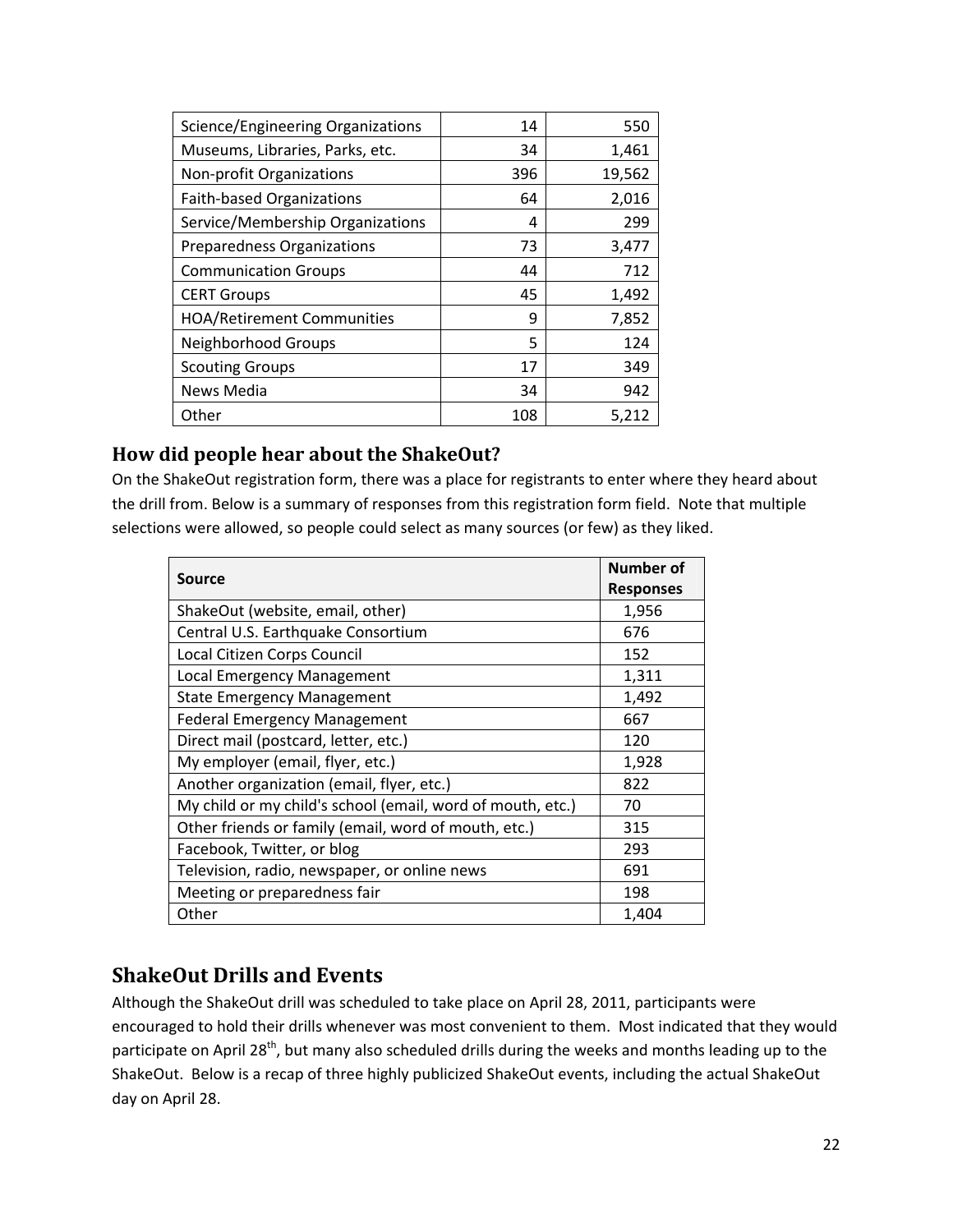| Science/Engineering Organizations | 14  | 550    |
|-----------------------------------|-----|--------|
| Museums, Libraries, Parks, etc.   | 34  | 1,461  |
| Non-profit Organizations          | 396 | 19,562 |
| <b>Faith-based Organizations</b>  | 64  | 2,016  |
| Service/Membership Organizations  | 4   | 299    |
| <b>Preparedness Organizations</b> | 73  | 3,477  |
| <b>Communication Groups</b>       | 44  | 712    |
| <b>CERT Groups</b>                | 45  | 1,492  |
| <b>HOA/Retirement Communities</b> | 9   | 7,852  |
| Neighborhood Groups               | 5   | 124    |
| <b>Scouting Groups</b>            | 17  | 349    |
| News Media                        | 34  | 942    |
| Other                             | 108 | 5.212  |

## **How did people hear about the ShakeOut?**

On the ShakeOut registration form, there was a place for registrants to enter where they heard about the drill from. Below is a summary of responses from this registration form field. Note that multiple selections were allowed, so people could select as many sources (or few) as they liked.

| <b>Source</b>                                              | Number of        |
|------------------------------------------------------------|------------------|
|                                                            | <b>Responses</b> |
| ShakeOut (website, email, other)                           | 1,956            |
| Central U.S. Earthquake Consortium                         | 676              |
| Local Citizen Corps Council                                | 152              |
| Local Emergency Management                                 | 1,311            |
| <b>State Emergency Management</b>                          | 1,492            |
| <b>Federal Emergency Management</b>                        | 667              |
| Direct mail (postcard, letter, etc.)                       | 120              |
| My employer (email, flyer, etc.)                           | 1,928            |
| Another organization (email, flyer, etc.)                  | 822              |
| My child or my child's school (email, word of mouth, etc.) | 70               |
| Other friends or family (email, word of mouth, etc.)       | 315              |
| Facebook, Twitter, or blog                                 | 293              |
| Television, radio, newspaper, or online news               | 691              |
| Meeting or preparedness fair                               | 198              |
| Other                                                      | 1,404            |

# **ShakeOut Drills and Events**

Although the ShakeOut drill was scheduled to take place on April 28, 2011, participants were encouraged to hold their drills whenever was most convenient to them. Most indicated that they would participate on April 28<sup>th</sup>, but many also scheduled drills during the weeks and months leading up to the ShakeOut. Below is a recap of three highly publicized ShakeOut events, including the actual ShakeOut day on April 28.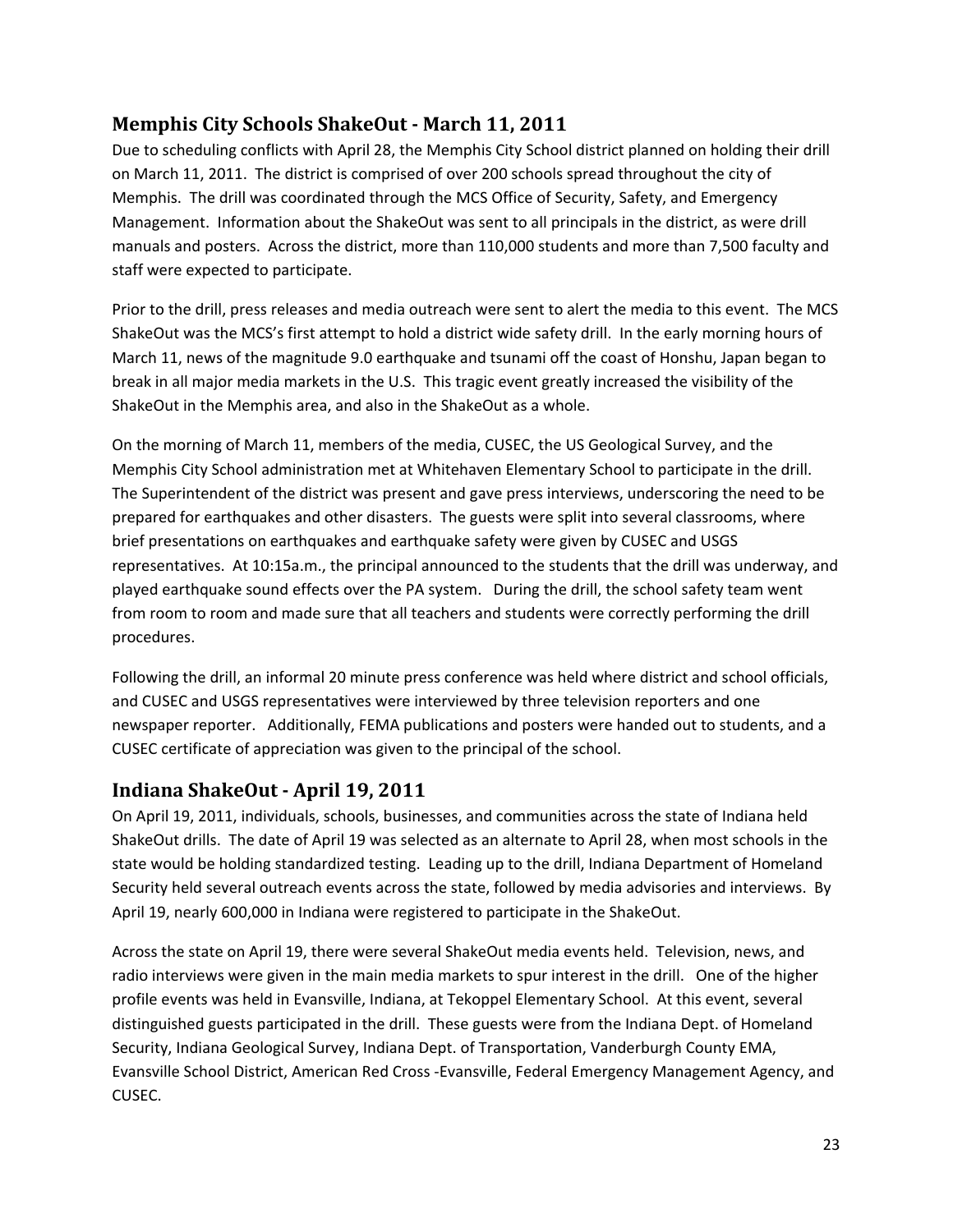## **Memphis City Schools ShakeOut ‐ March 11, 2011**

Due to scheduling conflicts with April 28, the Memphis City School district planned on holding their drill on March 11, 2011. The district is comprised of over 200 schools spread throughout the city of Memphis. The drill was coordinated through the MCS Office of Security, Safety, and Emergency Management. Information about the ShakeOut was sent to all principals in the district, as were drill manuals and posters. Across the district, more than 110,000 students and more than 7,500 faculty and staff were expected to participate.

Prior to the drill, press releases and media outreach were sent to alert the media to this event. The MCS ShakeOut was the MCS's first attempt to hold a district wide safety drill. In the early morning hours of March 11, news of the magnitude 9.0 earthquake and tsunami off the coast of Honshu, Japan began to break in all major media markets in the U.S. This tragic event greatly increased the visibility of the ShakeOut in the Memphis area, and also in the ShakeOut as a whole.

On the morning of March 11, members of the media, CUSEC, the US Geological Survey, and the Memphis City School administration met at Whitehaven Elementary School to participate in the drill. The Superintendent of the district was present and gave press interviews, underscoring the need to be prepared for earthquakes and other disasters. The guests were split into several classrooms, where brief presentations on earthquakes and earthquake safety were given by CUSEC and USGS representatives. At 10:15a.m., the principal announced to the students that the drill was underway, and played earthquake sound effects over the PA system. During the drill, the school safety team went from room to room and made sure that all teachers and students were correctly performing the drill procedures.

Following the drill, an informal 20 minute press conference was held where district and school officials, and CUSEC and USGS representatives were interviewed by three television reporters and one newspaper reporter. Additionally, FEMA publications and posters were handed out to students, and a CUSEC certificate of appreciation was given to the principal of the school.

## **Indiana ShakeOut ‐ April 19, 2011**

On April 19, 2011, individuals, schools, businesses, and communities across the state of Indiana held ShakeOut drills. The date of April 19 was selected as an alternate to April 28, when most schools in the state would be holding standardized testing. Leading up to the drill, Indiana Department of Homeland Security held several outreach events across the state, followed by media advisories and interviews. By April 19, nearly 600,000 in Indiana were registered to participate in the ShakeOut.

Across the state on April 19, there were several ShakeOut media events held. Television, news, and radio interviews were given in the main media markets to spur interest in the drill. One of the higher profile events was held in Evansville, Indiana, at Tekoppel Elementary School. At this event, several distinguished guests participated in the drill. These guests were from the Indiana Dept. of Homeland Security, Indiana Geological Survey, Indiana Dept. of Transportation, Vanderburgh County EMA, Evansville School District, American Red Cross ‐Evansville, Federal Emergency Management Agency, and CUSEC.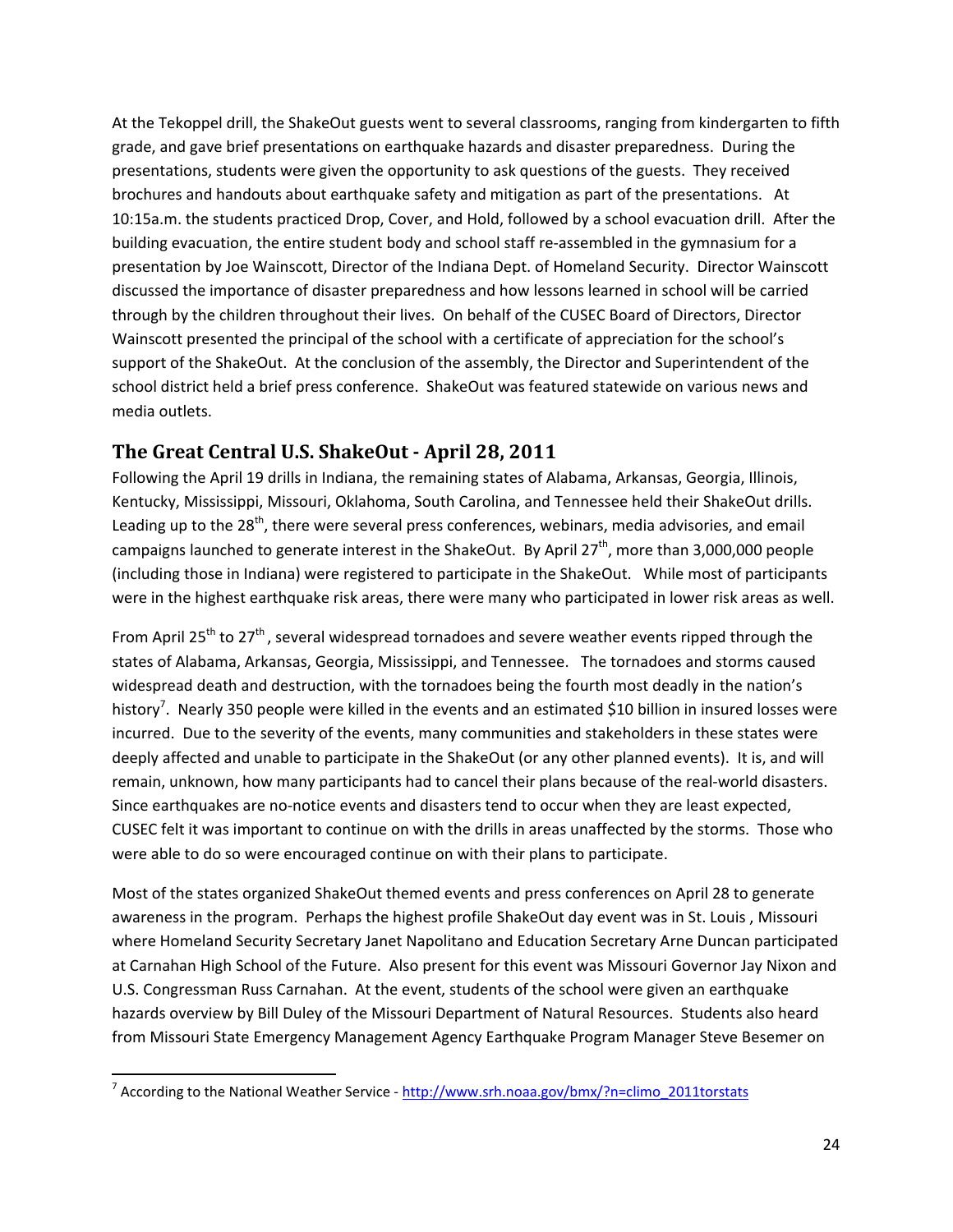At the Tekoppel drill, the ShakeOut guests went to several classrooms, ranging from kindergarten to fifth grade, and gave brief presentations on earthquake hazards and disaster preparedness. During the presentations, students were given the opportunity to ask questions of the guests. They received brochures and handouts about earthquake safety and mitigation as part of the presentations. At 10:15a.m. the students practiced Drop, Cover, and Hold, followed by a school evacuation drill. After the building evacuation, the entire student body and school staff re‐assembled in the gymnasium for a presentation by Joe Wainscott, Director of the Indiana Dept. of Homeland Security. Director Wainscott discussed the importance of disaster preparedness and how lessons learned in school will be carried through by the children throughout their lives. On behalf of the CUSEC Board of Directors, Director Wainscott presented the principal of the school with a certificate of appreciation for the school's support of the ShakeOut. At the conclusion of the assembly, the Director and Superintendent of the school district held a brief press conference. ShakeOut was featured statewide on various news and media outlets.

## **The Great Central U.S. ShakeOut ‐ April 28, 2011**

Following the April 19 drills in Indiana, the remaining states of Alabama, Arkansas, Georgia, Illinois, Kentucky, Mississippi, Missouri, Oklahoma, South Carolina, and Tennessee held their ShakeOut drills. Leading up to the 28<sup>th</sup>, there were several press conferences, webinars, media advisories, and email campaigns launched to generate interest in the ShakeOut. By April  $27<sup>th</sup>$ , more than 3,000,000 people (including those in Indiana) were registered to participate in the ShakeOut. While most of participants were in the highest earthquake risk areas, there were many who participated in lower risk areas as well.

From April 25<sup>th</sup> to 27<sup>th</sup>, several widespread tornadoes and severe weather events ripped through the states of Alabama, Arkansas, Georgia, Mississippi, and Tennessee. The tornadoes and storms caused widespread death and destruction, with the tornadoes being the fourth most deadly in the nation's history<sup>7</sup>. Nearly 350 people were killed in the events and an estimated \$10 billion in insured losses were incurred. Due to the severity of the events, many communities and stakeholders in these states were deeply affected and unable to participate in the ShakeOut (or any other planned events). It is, and will remain, unknown, how many participants had to cancel their plans because of the real‐world disasters. Since earthquakes are no-notice events and disasters tend to occur when they are least expected, CUSEC felt it was important to continue on with the drills in areas unaffected by the storms. Those who were able to do so were encouraged continue on with their plans to participate.

Most of the states organized ShakeOut themed events and press conferences on April 28 to generate awareness in the program. Perhaps the highest profile ShakeOut day event was in St. Louis , Missouri where Homeland Security Secretary Janet Napolitano and Education Secretary Arne Duncan participated at Carnahan High School of the Future. Also present for this event was Missouri Governor Jay Nixon and U.S. Congressman Russ Carnahan. At the event, students of the school were given an earthquake hazards overview by Bill Duley of the Missouri Department of Natural Resources. Students also heard from Missouri State Emergency Management Agency Earthquake Program Manager Steve Besemer on

 <sup>7</sup> According to the National Weather Service - http://www.srh.noaa.gov/bmx/?n=climo\_2011torstats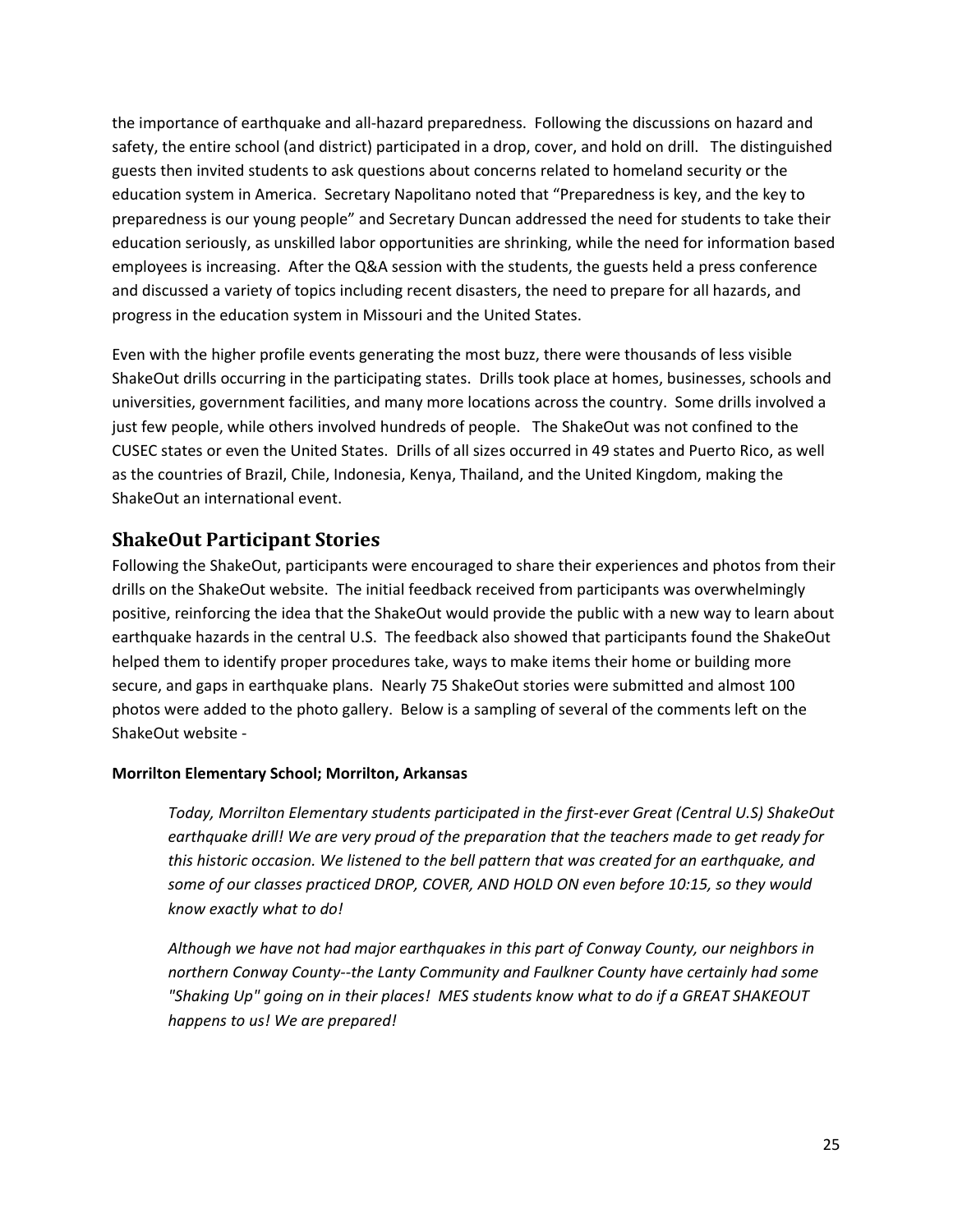the importance of earthquake and all‐hazard preparedness. Following the discussions on hazard and safety, the entire school (and district) participated in a drop, cover, and hold on drill. The distinguished guests then invited students to ask questions about concerns related to homeland security or the education system in America. Secretary Napolitano noted that "Preparedness is key, and the key to preparedness is our young people" and Secretary Duncan addressed the need for students to take their education seriously, as unskilled labor opportunities are shrinking, while the need for information based employees is increasing. After the Q&A session with the students, the guests held a press conference and discussed a variety of topics including recent disasters, the need to prepare for all hazards, and progress in the education system in Missouri and the United States.

Even with the higher profile events generating the most buzz, there were thousands of less visible ShakeOut drills occurring in the participating states. Drills took place at homes, businesses, schools and universities, government facilities, and many more locations across the country. Some drills involved a just few people, while others involved hundreds of people. The ShakeOut was not confined to the CUSEC states or even the United States. Drills of all sizes occurred in 49 states and Puerto Rico, as well as the countries of Brazil, Chile, Indonesia, Kenya, Thailand, and the United Kingdom, making the ShakeOut an international event.

## **ShakeOut Participant Stories**

Following the ShakeOut, participants were encouraged to share their experiences and photos from their drills on the ShakeOut website. The initial feedback received from participants was overwhelmingly positive, reinforcing the idea that the ShakeOut would provide the public with a new way to learn about earthquake hazards in the central U.S. The feedback also showed that participants found the ShakeOut helped them to identify proper procedures take, ways to make items their home or building more secure, and gaps in earthquake plans. Nearly 75 ShakeOut stories were submitted and almost 100 photos were added to the photo gallery. Below is a sampling of several of the comments left on the ShakeOut website ‐

#### **Morrilton Elementary School; Morrilton, Arkansas**

*Today, Morrilton Elementary students participated in the first‐ever Great (Central U.S) ShakeOut earthquake drill! We are very proud of the preparation that the teachers made to get ready for this historic occasion. We listened to the bell pattern that was created for an earthquake, and some of our classes practiced DROP, COVER, AND HOLD ON even before 10:15, so they would know exactly what to do!*

*Although we have not had major earthquakes in this part of Conway County, our neighbors in northern Conway County‐‐the Lanty Community and Faulkner County have certainly had some "Shaking Up" going on in their places! MES students know what to do if a GREAT SHAKEOUT happens to us! We are prepared!*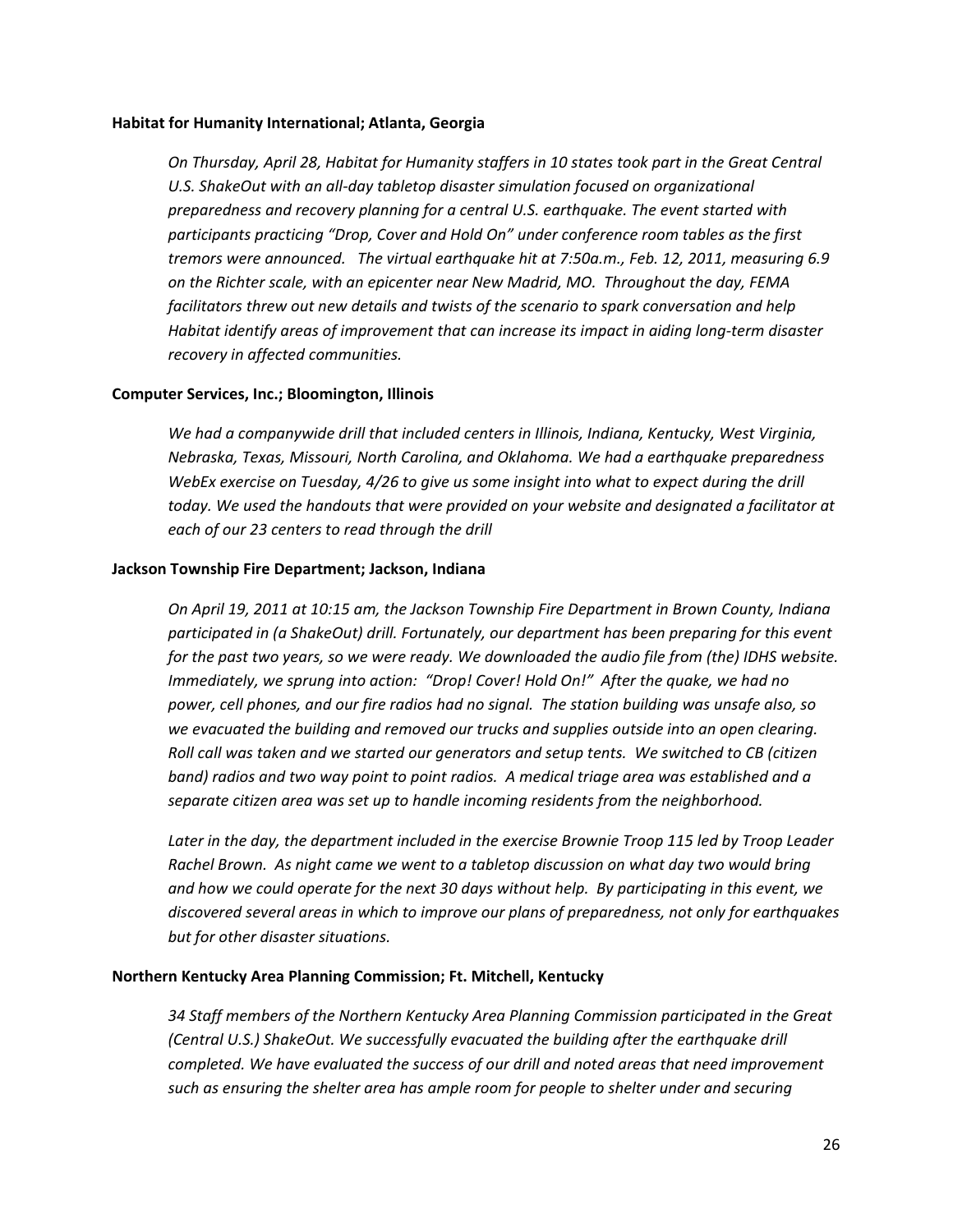#### **Habitat for Humanity International; Atlanta, Georgia**

*On Thursday, April 28, Habitat for Humanity staffers in 10 states took part in the Great Central U.S. ShakeOut with an all‐day tabletop disaster simulation focused on organizational preparedness and recovery planning for a central U.S. earthquake. The event started with participants practicing "Drop, Cover and Hold On" under conference room tables as the first tremors were announced. The virtual earthquake hit at 7:50a.m., Feb. 12, 2011, measuring 6.9 on the Richter scale, with an epicenter near New Madrid, MO. Throughout the day, FEMA facilitators threw out new details and twists of the scenario to spark conversation and help Habitat identify areas of improvement that can increase its impact in aiding long‐term disaster recovery in affected communities.* 

#### **Computer Services, Inc.; Bloomington, Illinois**

*We had a companywide drill that included centers in Illinois, Indiana, Kentucky, West Virginia, Nebraska, Texas, Missouri, North Carolina, and Oklahoma. We had a earthquake preparedness WebEx exercise on Tuesday, 4/26 to give us some insight into what to expect during the drill today. We used the handouts that were provided on your website and designated a facilitator at each of our 23 centers to read through the drill*

#### **Jackson Township Fire Department; Jackson, Indiana**

*On April 19, 2011 at 10:15 am, the Jackson Township Fire Department in Brown County, Indiana participated in (a ShakeOut) drill. Fortunately, our department has been preparing for this event* for the past two years, so we were ready. We downloaded the audio file from (the) IDHS website. *Immediately, we sprung into action: "Drop! Cover! Hold On!" After the quake, we had no power, cell phones, and our fire radios had no signal. The station building was unsafe also, so we evacuated the building and removed our trucks and supplies outside into an open clearing. Roll call was taken and we started our generators and setup tents. We switched to CB (citizen band) radios and two way point to point radios. A medical triage area was established and a separate citizen area was set up to handle incoming residents from the neighborhood.* 

*Later in the day, the department included in the exercise Brownie Troop 115 led by Troop Leader Rachel Brown. As night came we went to a tabletop discussion on what day two would bring* and how we could operate for the next 30 days without help. By participating in this event, we *discovered several areas in which to improve our plans of preparedness, not only for earthquakes but for other disaster situations.*

#### **Northern Kentucky Area Planning Commission; Ft. Mitchell, Kentucky**

*34 Staff members of the Northern Kentucky Area Planning Commission participated in the Great (Central U.S.) ShakeOut. We successfully evacuated the building after the earthquake drill completed. We have evaluated the success of our drill and noted areas that need improvement such as ensuring the shelter area has ample room for people to shelter under and securing*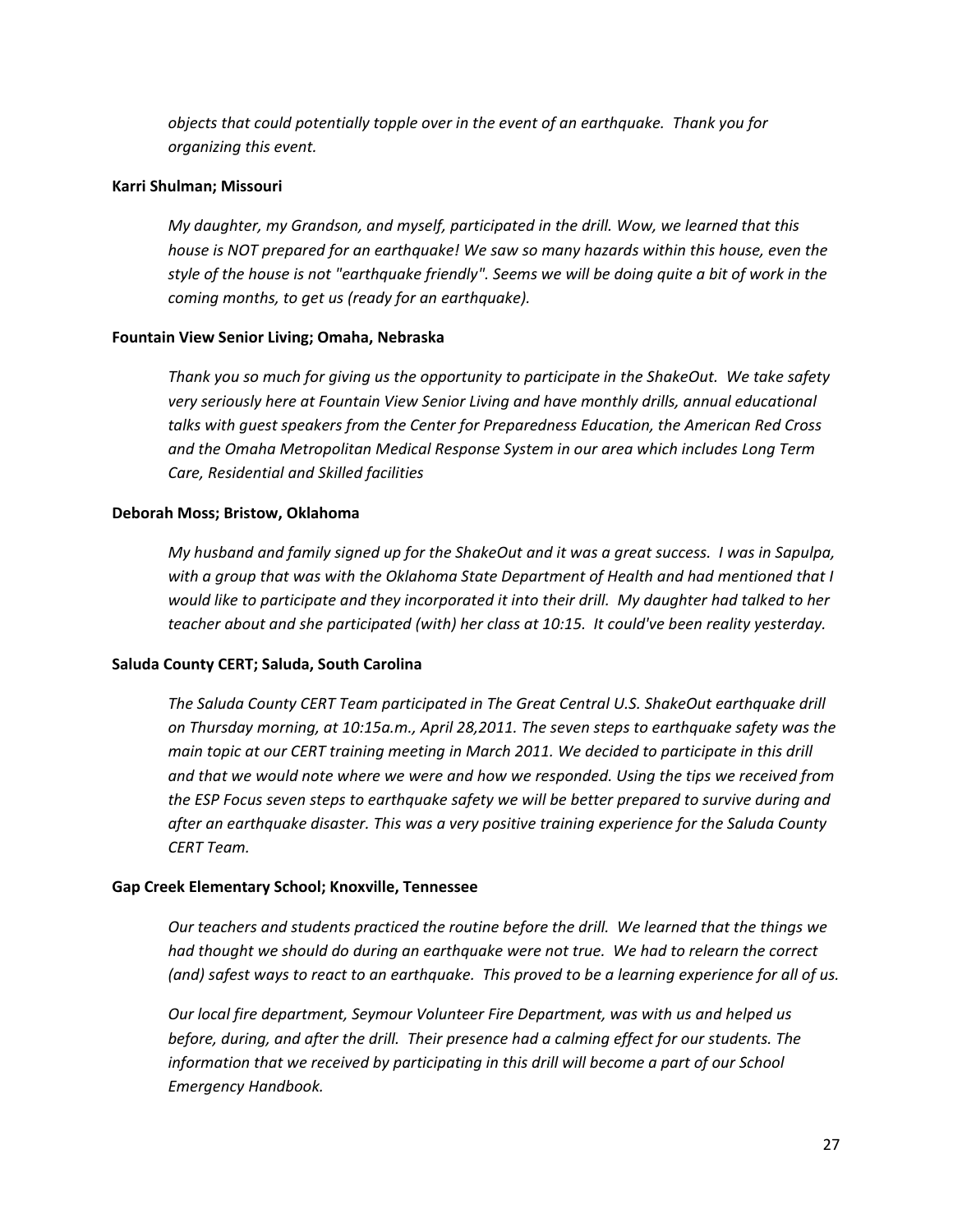*objects that could potentially topple over in the event of an earthquake. Thank you for organizing this event.*

#### **Karri Shulman; Missouri**

*My daughter, my Grandson, and myself, participated in the drill. Wow, we learned that this house is NOT prepared for an earthquake! We saw so many hazards within this house, even the* style of the house is not "earthquake friendly". Seems we will be doing quite a bit of work in the *coming months, to get us (ready for an earthquake).*

#### **Fountain View Senior Living; Omaha, Nebraska**

*Thank you so much for giving us the opportunity to participate in the ShakeOut. We take safety very seriously here at Fountain View Senior Living and have monthly drills, annual educational talks with guest speakers from the Center for Preparedness Education, the American Red Cross and the Omaha Metropolitan Medical Response System in our area which includes Long Term Care, Residential and Skilled facilities*

#### **Deborah Moss; Bristow, Oklahoma**

My husband and family signed up for the ShakeOut and it was a great success. I was in Sapulpa, *with a group that was with the Oklahoma State Department of Health and had mentioned that I* would like to participate and they incorporated it into their drill. My daughter had talked to her *teacher about and she participated (with) her class at 10:15. It could've been reality yesterday.*

#### **Saluda County CERT; Saluda, South Carolina**

*The Saluda County CERT Team participated in The Great Central U.S. ShakeOut earthquake drill on Thursday morning, at 10:15a.m., April 28,2011. The seven steps to earthquake safety was the main topic at our CERT training meeting in March 2011. We decided to participate in this drill and that we would note where we were and how we responded. Using the tips we received from the ESP Focus seven steps to earthquake safety we will be better prepared to survive during and after an earthquake disaster. This was a very positive training experience for the Saluda County CERT Team.*

#### **Gap Creek Elementary School; Knoxville, Tennessee**

*Our teachers and students practiced the routine before the drill. We learned that the things we had thought we should do during an earthquake were not true. We had to relearn the correct* (and) safest ways to react to an earthquake. This proved to be a learning experience for all of us.

*Our local fire department, Seymour Volunteer Fire Department, was with us and helped us before, during, and after the drill. Their presence had a calming effect for our students. The information that we received by participating in this drill will become a part of our School Emergency Handbook.*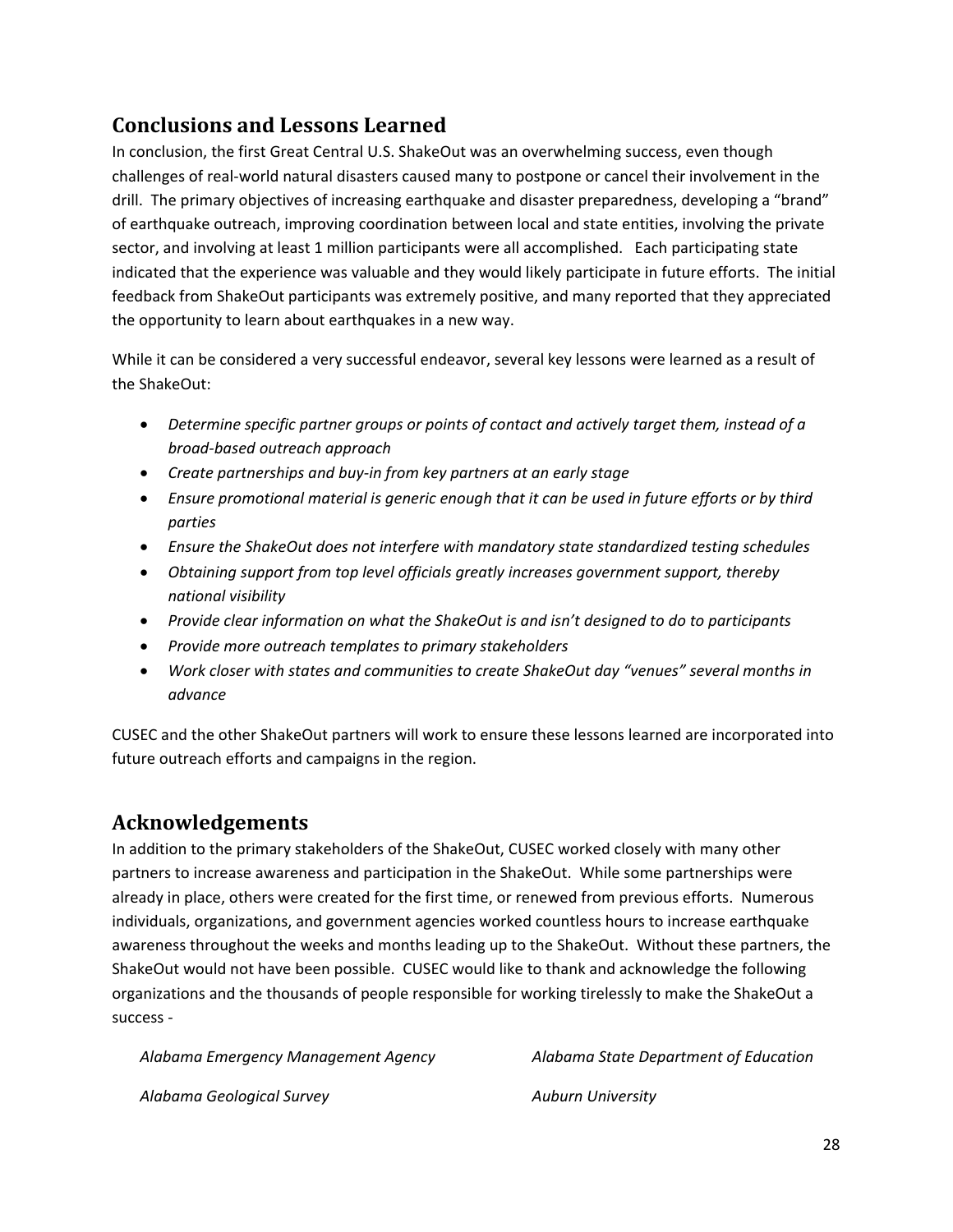# **Conclusions and Lessons Learned**

In conclusion, the first Great Central U.S. ShakeOut was an overwhelming success, even though challenges of real‐world natural disasters caused many to postpone or cancel their involvement in the drill. The primary objectives of increasing earthquake and disaster preparedness, developing a "brand" of earthquake outreach, improving coordination between local and state entities, involving the private sector, and involving at least 1 million participants were all accomplished. Each participating state indicated that the experience was valuable and they would likely participate in future efforts. The initial feedback from ShakeOut participants was extremely positive, and many reported that they appreciated the opportunity to learn about earthquakes in a new way.

While it can be considered a very successful endeavor, several key lessons were learned as a result of the ShakeOut:

- *Determine specific partner groups or points of contact and actively target them, instead of a broad‐based outreach approach*
- *Create partnerships and buy‐in from key partners at an early stage*
- *Ensure promotional material is generic enough that it can be used in future efforts or by third parties*
- *Ensure the ShakeOut does not interfere with mandatory state standardized testing schedules*
- *Obtaining support from top level officials greatly increases government support, thereby national visibility*
- *Provide clear information on what the ShakeOut is and isn't designed to do to participants*
- *Provide more outreach templates to primary stakeholders*
- *Work closer with states and communities to create ShakeOut day "venues" several months in advance*

CUSEC and the other ShakeOut partners will work to ensure these lessons learned are incorporated into future outreach efforts and campaigns in the region.

# **Acknowledgements**

In addition to the primary stakeholders of the ShakeOut, CUSEC worked closely with many other partners to increase awareness and participation in the ShakeOut. While some partnerships were already in place, others were created for the first time, or renewed from previous efforts. Numerous individuals, organizations, and government agencies worked countless hours to increase earthquake awareness throughout the weeks and months leading up to the ShakeOut. Without these partners, the ShakeOut would not have been possible. CUSEC would like to thank and acknowledge the following organizations and the thousands of people responsible for working tirelessly to make the ShakeOut a success ‐

*Alabama Emergency Management Agency*

*Alabama State Department of Education*

*Alabama Geological Survey*

*Auburn University*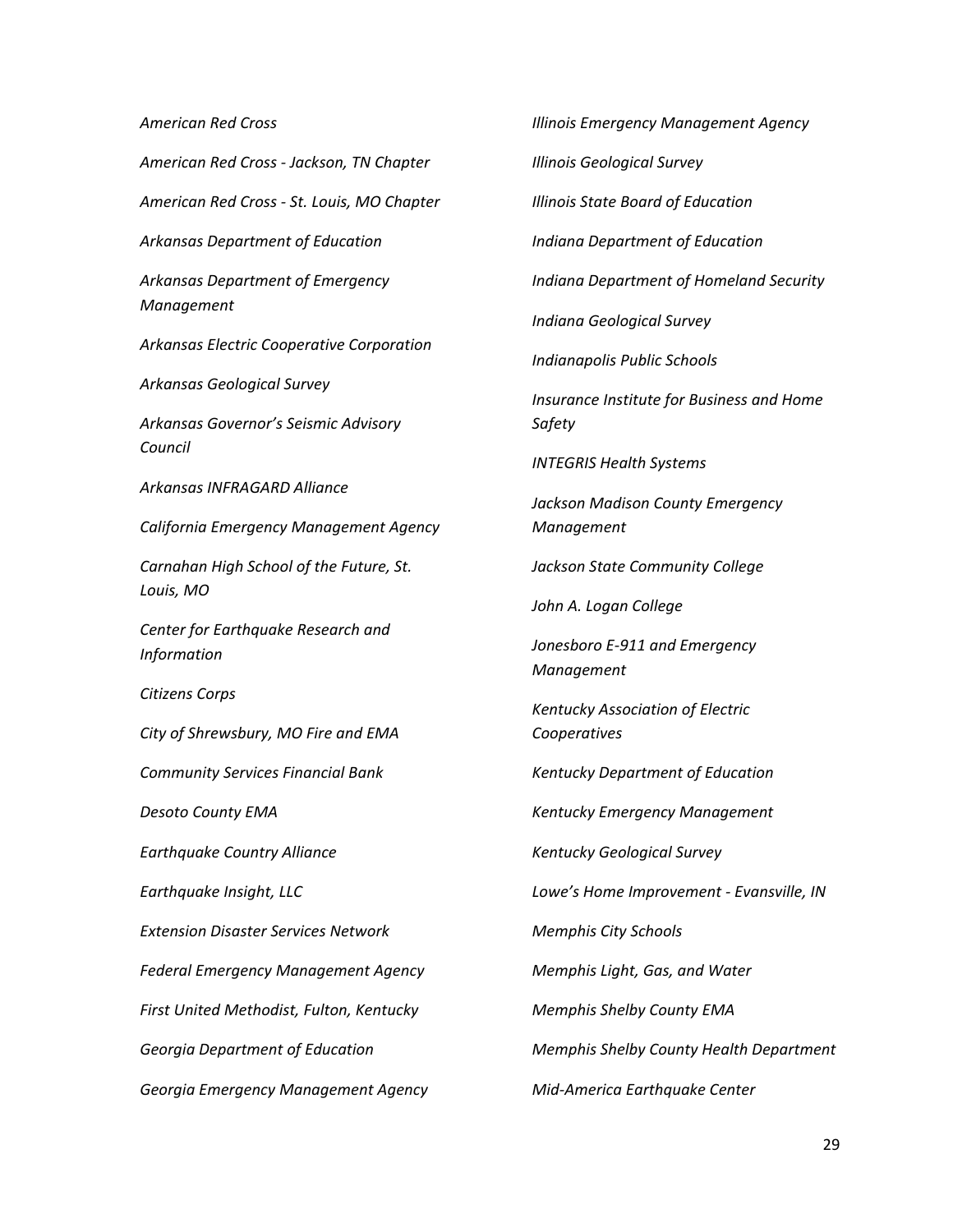#### *American Red Cross*

*American Red Cross ‐ Jackson, TN Chapter American Red Cross ‐ St. Louis, MO Chapter Arkansas Department of Education Arkansas Department of Emergency Management Arkansas Electric Cooperative Corporation Arkansas Geological Survey Arkansas Governor's Seismic Advisory Council Arkansas INFRAGARD Alliance California Emergency Management Agency Carnahan High School of the Future, St. Louis, MO Center for Earthquake Research and Information Citizens Corps City of Shrewsbury, MO Fire and EMA Community Services Financial Bank Desoto County EMA Earthquake Country Alliance Earthquake Insight, LLC Extension Disaster Services Network Federal Emergency Management Agency First United Methodist, Fulton, Kentucky Georgia Department of Education Georgia Emergency Management Agency*

*Illinois Emergency Management Agency Illinois Geological Survey Illinois State Board of Education Indiana Department of Education Indiana Department of Homeland Security Indiana Geological Survey Indianapolis Public Schools Insurance Institute for Business and Home Safety INTEGRIS Health Systems Jackson Madison County Emergency Management Jackson State Community College John A. Logan College Jonesboro E‐911 and Emergency Management Kentucky Association of Electric Cooperatives Kentucky Department of Education Kentucky Emergency Management Kentucky Geological Survey Lowe's Home Improvement ‐ Evansville, IN Memphis City Schools Memphis Light, Gas, and Water Memphis Shelby County EMA Memphis Shelby County Health Department Mid‐America Earthquake Center*